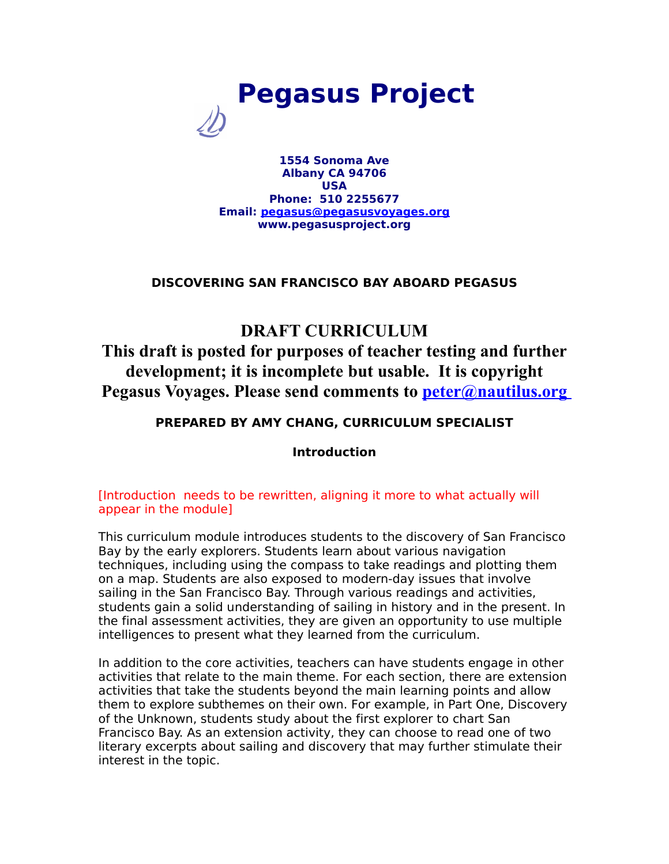**Pegasus Project**



**1554 Sonoma Ave Albany CA 94706 USA Phone: 510 2255677 Email: [pegasus@pegasusvoyages.org](mailto:pegasus@pegasusvoyages.org) www.pegasusproject.org**

## **DISCOVERING SAN FRANCISCO BAY ABOARD PEGASUS**

# **DRAFT CURRICULUM**

**This draft is posted for purposes of teacher testing and further development; it is incomplete but usable. It is copyright Pegasus Voyages. Please send comments to [peter@nautilus.org](mailto:peter@nautilus.org)**

## **PREPARED BY AMY CHANG, CURRICULUM SPECIALIST**

**Introduction**

[Introduction needs to be rewritten, aligning it more to what actually will appear in the module]

This curriculum module introduces students to the discovery of San Francisco Bay by the early explorers. Students learn about various navigation techniques, including using the compass to take readings and plotting them on a map. Students are also exposed to modern-day issues that involve sailing in the San Francisco Bay. Through various readings and activities, students gain a solid understanding of sailing in history and in the present. In the final assessment activities, they are given an opportunity to use multiple intelligences to present what they learned from the curriculum.

In addition to the core activities, teachers can have students engage in other activities that relate to the main theme. For each section, there are extension activities that take the students beyond the main learning points and allow them to explore subthemes on their own. For example, in Part One, Discovery of the Unknown, students study about the first explorer to chart San Francisco Bay. As an extension activity, they can choose to read one of two literary excerpts about sailing and discovery that may further stimulate their interest in the topic.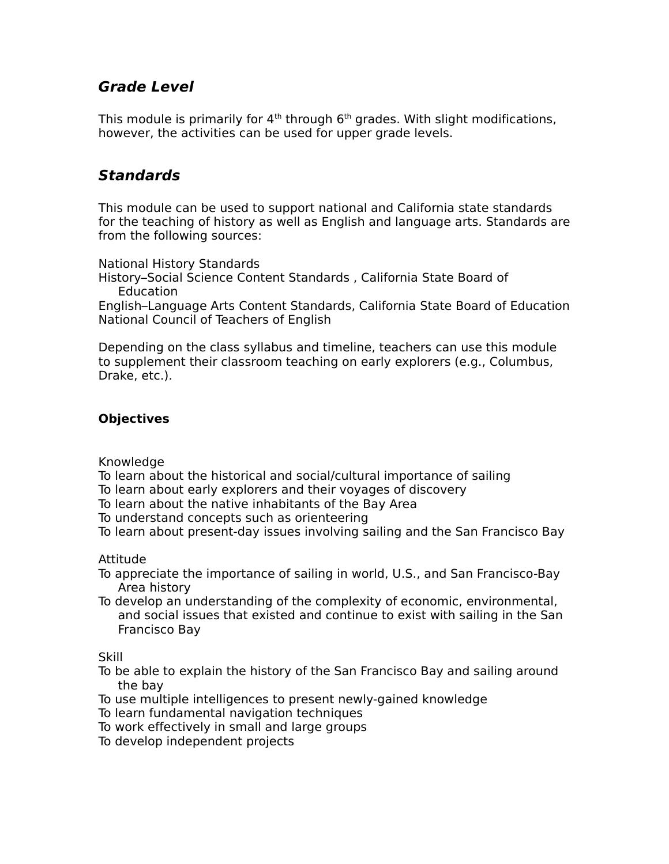# **Grade Level**

This module is primarily for 4<sup>th</sup> through 6<sup>th</sup> grades. With slight modifications, however, the activities can be used for upper grade levels.

# **Standards**

This module can be used to support national and California state standards for the teaching of history as well as English and language arts. Standards are from the following sources:

National History Standards

History–Social Science Content Standards , California State Board of Education

English–Language Arts Content Standards, California State Board of Education National Council of Teachers of English

Depending on the class syllabus and timeline, teachers can use this module to supplement their classroom teaching on early explorers (e.g., Columbus, Drake, etc.).

### **Objectives**

Knowledge

To learn about the historical and social/cultural importance of sailing

To learn about early explorers and their voyages of discovery

To learn about the native inhabitants of the Bay Area

To understand concepts such as orienteering

To learn about present-day issues involving sailing and the San Francisco Bay

Attitude

- To appreciate the importance of sailing in world, U.S., and San Francisco-Bay Area history
- To develop an understanding of the complexity of economic, environmental, and social issues that existed and continue to exist with sailing in the San Francisco Bay

Skill

To be able to explain the history of the San Francisco Bay and sailing around the bay

To use multiple intelligences to present newly-gained knowledge

To learn fundamental navigation techniques

To work effectively in small and large groups

To develop independent projects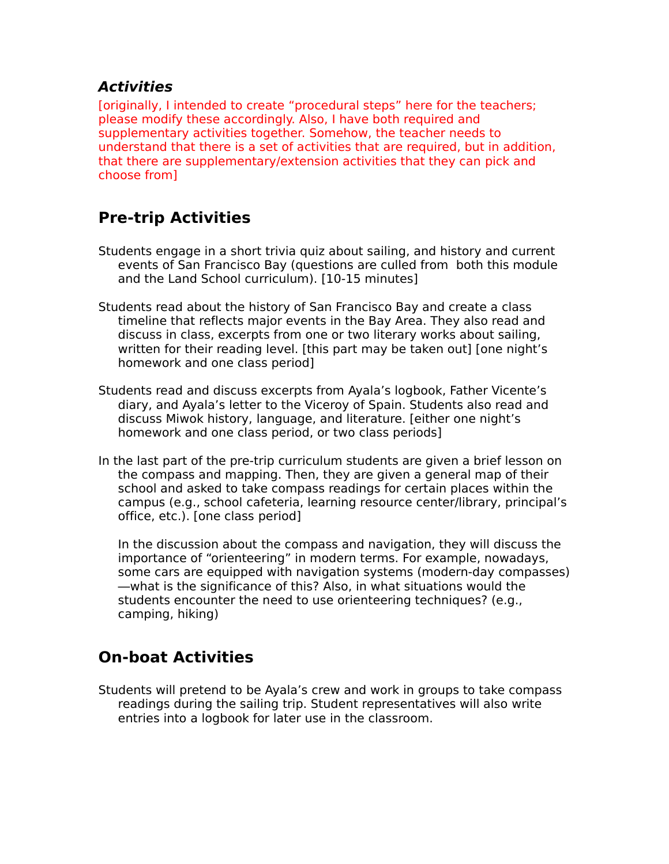## **Activities**

[originally, I intended to create "procedural steps" here for the teachers; please modify these accordingly. Also, I have both required and supplementary activities together. Somehow, the teacher needs to understand that there is a set of activities that are required, but in addition, that there are supplementary/extension activities that they can pick and choose from]

# **Pre-trip Activities**

- Students engage in a short trivia quiz about sailing, and history and current events of San Francisco Bay (questions are culled from both this module and the Land School curriculum). [10-15 minutes]
- Students read about the history of San Francisco Bay and create a class timeline that reflects major events in the Bay Area. They also read and discuss in class, excerpts from one or two literary works about sailing, written for their reading level. [this part may be taken out] [one night's homework and one class period]
- Students read and discuss excerpts from Ayala's logbook, Father Vicente's diary, and Ayala's letter to the Viceroy of Spain. Students also read and discuss Miwok history, language, and literature. [either one night's homework and one class period, or two class periods]
- In the last part of the pre-trip curriculum students are given a brief lesson on the compass and mapping. Then, they are given a general map of their school and asked to take compass readings for certain places within the campus (e.g., school cafeteria, learning resource center/library, principal's office, etc.). [one class period]

In the discussion about the compass and navigation, they will discuss the importance of "orienteering" in modern terms. For example, nowadays, some cars are equipped with navigation systems (modern-day compasses) —what is the significance of this? Also, in what situations would the students encounter the need to use orienteering techniques? (e.g., camping, hiking)

# **On-boat Activities**

Students will pretend to be Ayala's crew and work in groups to take compass readings during the sailing trip. Student representatives will also write entries into a logbook for later use in the classroom.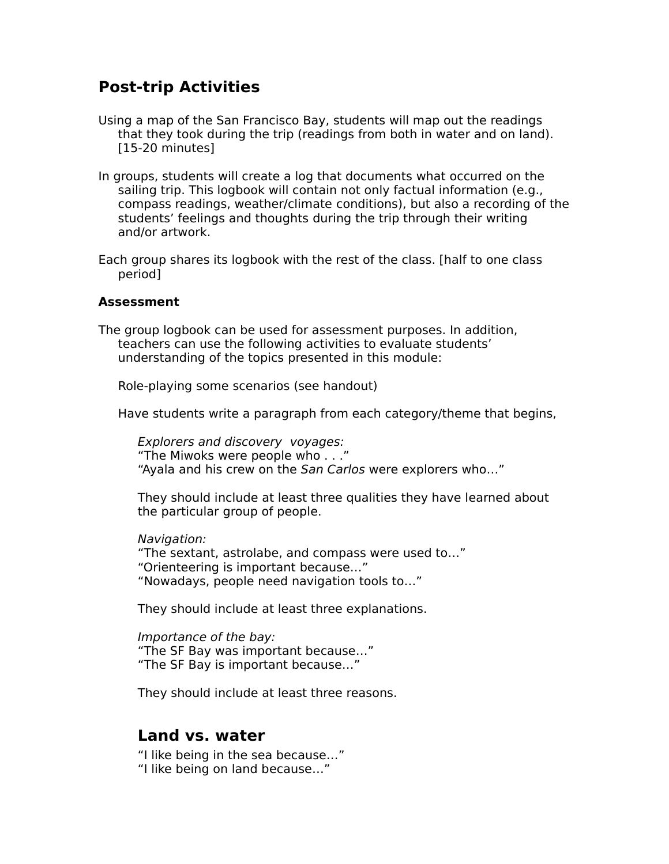# **Post-trip Activities**

- Using a map of the San Francisco Bay, students will map out the readings that they took during the trip (readings from both in water and on land). [15-20 minutes]
- In groups, students will create a log that documents what occurred on the sailing trip. This logbook will contain not only factual information (e.g., compass readings, weather/climate conditions), but also a recording of the students' feelings and thoughts during the trip through their writing and/or artwork.

Each group shares its logbook with the rest of the class. [half to one class period]

### **Assessment**

The group logbook can be used for assessment purposes. In addition, teachers can use the following activities to evaluate students' understanding of the topics presented in this module:

Role-playing some scenarios (see handout)

Have students write a paragraph from each category/theme that begins,

Explorers and discovery voyages: "The Miwoks were people who . . ." "Ayala and his crew on the San Carlos were explorers who…"

They should include at least three qualities they have learned about the particular group of people.

Navigation: "The sextant, astrolabe, and compass were used to…" "Orienteering is important because…" "Nowadays, people need navigation tools to…"

They should include at least three explanations.

Importance of the bay: "The SF Bay was important because…" "The SF Bay is important because…"

They should include at least three reasons.

## **Land vs. water**

"I like being in the sea because…" "I like being on land because…"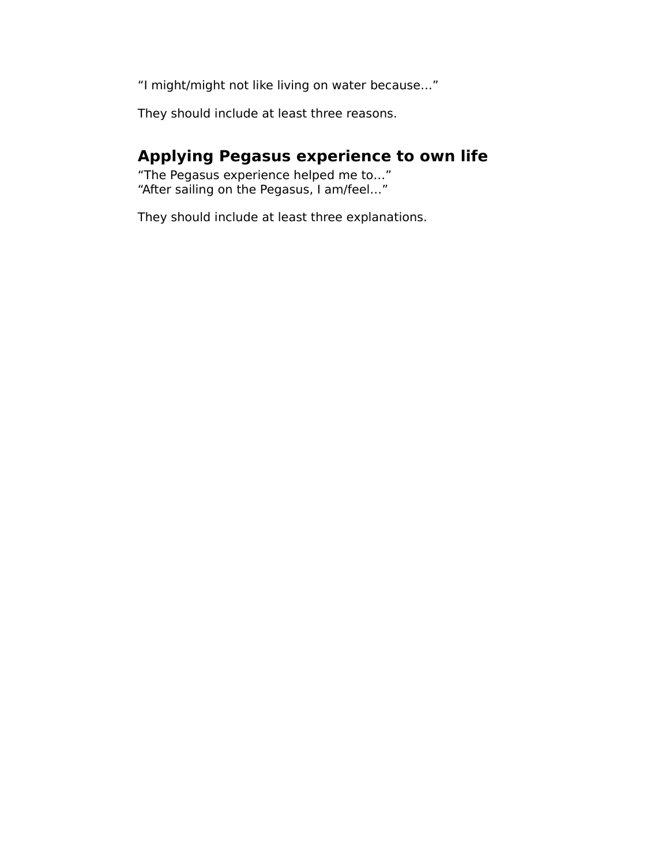"I might/might not like living on water because…"

They should include at least three reasons.

# **Applying Pegasus experience to own life**

"The Pegasus experience helped me to…" "After sailing on the Pegasus, I am/feel…"

They should include at least three explanations.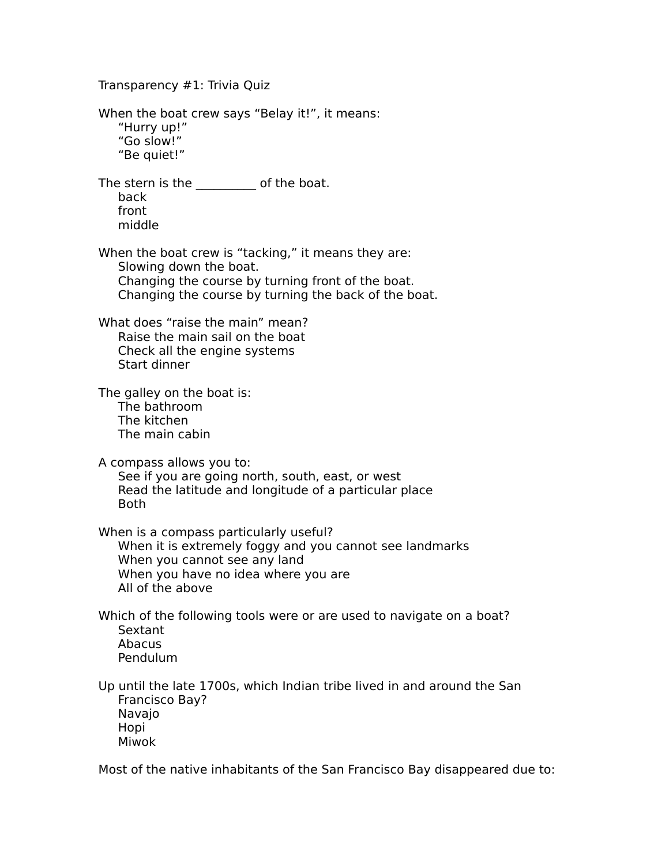Transparency #1: Trivia Quiz When the boat crew says "Belay it!", it means: "Hurry up!" "Go slow!" "Be quiet!" The stern is the \_\_\_\_\_\_\_\_\_\_ of the boat. back front middle When the boat crew is "tacking," it means they are: Slowing down the boat. Changing the course by turning front of the boat. Changing the course by turning the back of the boat. What does "raise the main" mean? Raise the main sail on the boat Check all the engine systems Start dinner The galley on the boat is: The bathroom The kitchen The main cabin A compass allows you to: See if you are going north, south, east, or west Read the latitude and longitude of a particular place Both When is a compass particularly useful? When it is extremely foggy and you cannot see landmarks When you cannot see any land When you have no idea where you are All of the above Which of the following tools were or are used to navigate on a boat? **Sextant** Abacus Pendulum Up until the late 1700s, which Indian tribe lived in and around the San Francisco Bay? Navajo Hopi Miwok

Most of the native inhabitants of the San Francisco Bay disappeared due to: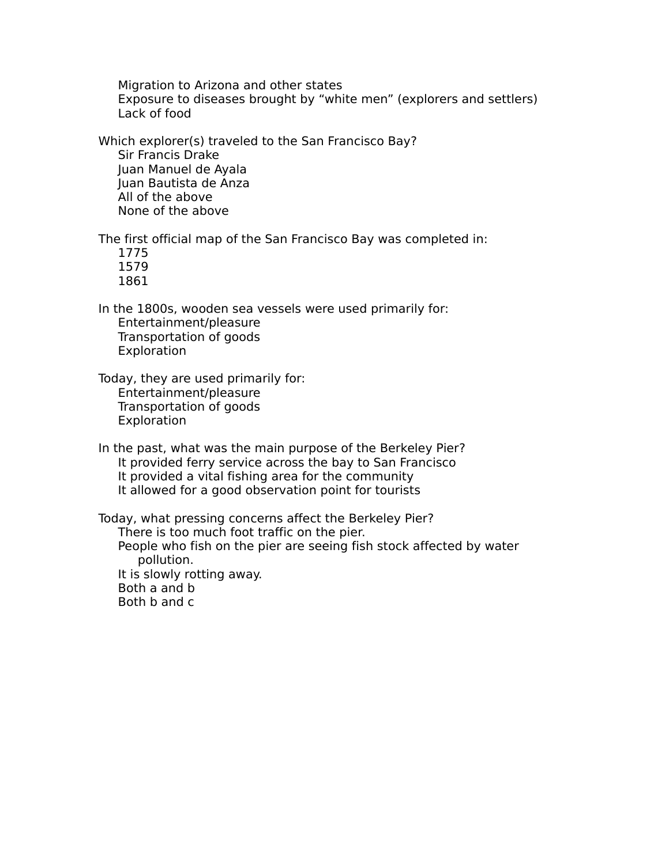Migration to Arizona and other states Exposure to diseases brought by "white men" (explorers and settlers) Lack of food

Which explorer(s) traveled to the San Francisco Bay? Sir Francis Drake Juan Manuel de Ayala Juan Bautista de Anza All of the above None of the above

The first official map of the San Francisco Bay was completed in:

1775 1579 1861

In the 1800s, wooden sea vessels were used primarily for: Entertainment/pleasure Transportation of goods Exploration

Today, they are used primarily for: Entertainment/pleasure Transportation of goods Exploration

In the past, what was the main purpose of the Berkeley Pier? It provided ferry service across the bay to San Francisco It provided a vital fishing area for the community It allowed for a good observation point for tourists

Today, what pressing concerns affect the Berkeley Pier? There is too much foot traffic on the pier. People who fish on the pier are seeing fish stock affected by water pollution. It is slowly rotting away. Both a and b Both b and c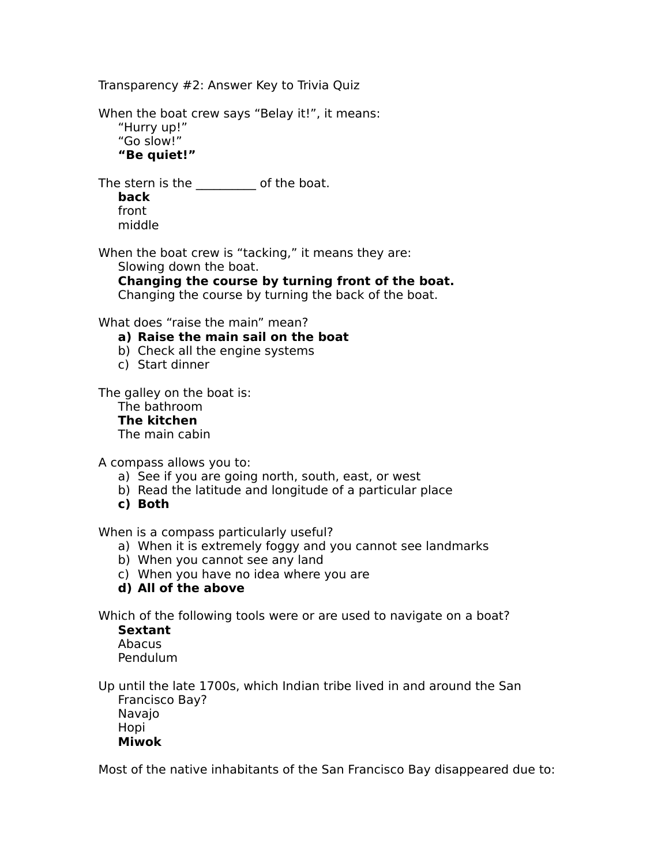Transparency #2: Answer Key to Trivia Quiz

When the boat crew says "Belay it!", it means: "Hurry up!" "Go slow!" **"Be quiet!"**

The stern is the \_\_\_\_\_\_\_\_\_\_ of the boat. **back** front middle

When the boat crew is "tacking," it means they are: Slowing down the boat.

**Changing the course by turning front of the boat.** Changing the course by turning the back of the boat.

What does "raise the main" mean?

- **a) Raise the main sail on the boat**
- b) Check all the engine systems
- c) Start dinner

The galley on the boat is:

The bathroom **The kitchen** The main cabin

A compass allows you to:

- a) See if you are going north, south, east, or west
- b) Read the latitude and longitude of a particular place
- **c) Both**

When is a compass particularly useful?

- a) When it is extremely foggy and you cannot see landmarks
- b) When you cannot see any land
- c) When you have no idea where you are
- **d) All of the above**

Which of the following tools were or are used to navigate on a boat?

**Sextant** Abacus Pendulum

Up until the late 1700s, which Indian tribe lived in and around the San Francisco Bay? Navajo Hopi

**Miwok**

Most of the native inhabitants of the San Francisco Bay disappeared due to: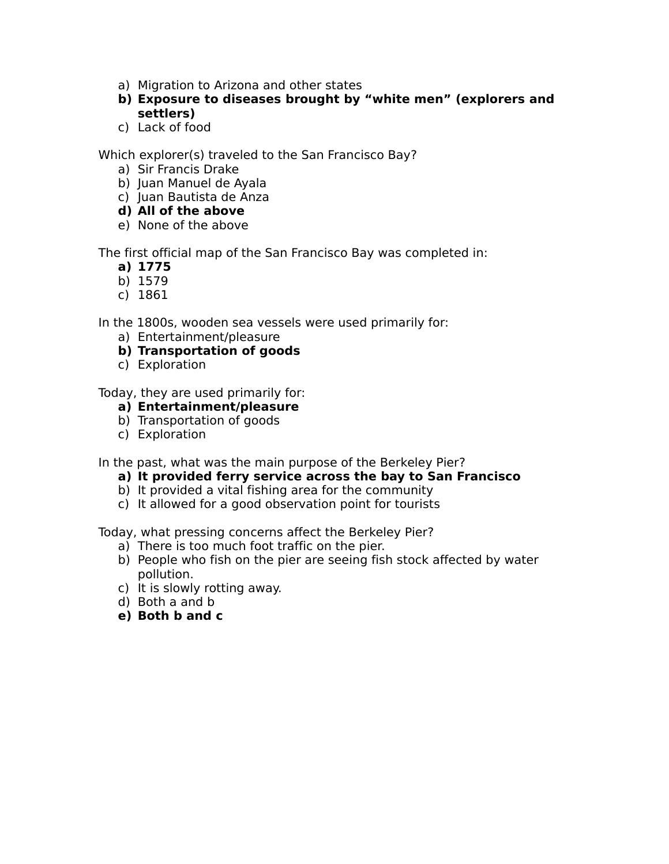- a) Migration to Arizona and other states
- **b) Exposure to diseases brought by "white men" (explorers and settlers)**
- c) Lack of food

Which explorer(s) traveled to the San Francisco Bay?

- a) Sir Francis Drake
- b) Juan Manuel de Ayala
- c) Juan Bautista de Anza
- **d) All of the above**
- e) None of the above

The first official map of the San Francisco Bay was completed in:

- **a) 1775**
- b) 1579
- c) 1861

In the 1800s, wooden sea vessels were used primarily for:

- a) Entertainment/pleasure
- **b) Transportation of goods**
- c) Exploration

Today, they are used primarily for:

- **a) Entertainment/pleasure**
- b) Transportation of goods
- c) Exploration

In the past, what was the main purpose of the Berkeley Pier?

- **a) It provided ferry service across the bay to San Francisco**
- b) It provided a vital fishing area for the community
- c) It allowed for a good observation point for tourists

Today, what pressing concerns affect the Berkeley Pier?

- a) There is too much foot traffic on the pier.
- b) People who fish on the pier are seeing fish stock affected by water pollution.
- c) It is slowly rotting away.
- d) Both a and b
- **e) Both b and c**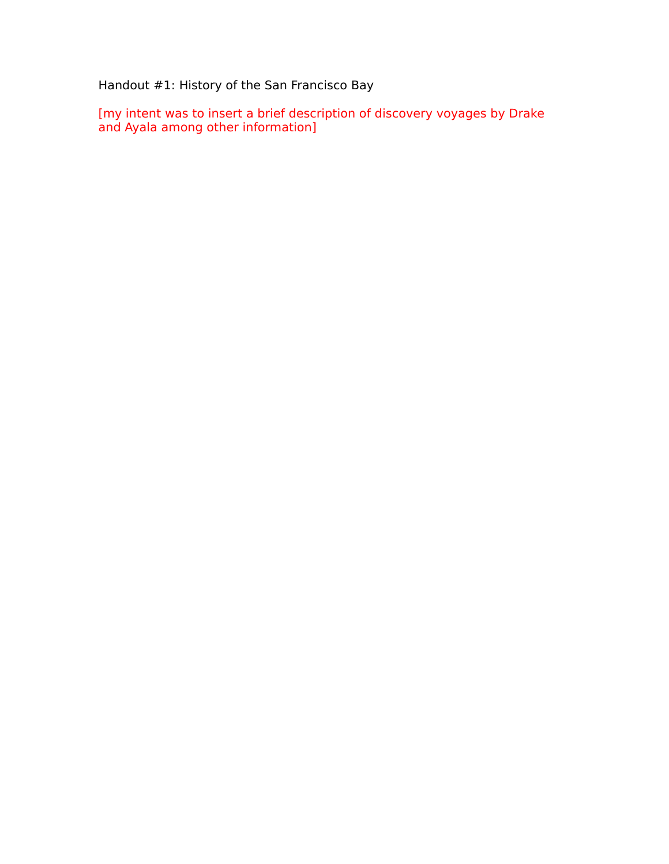Handout #1: History of the San Francisco Bay

[my intent was to insert a brief description of discovery voyages by Drake and Ayala among other information]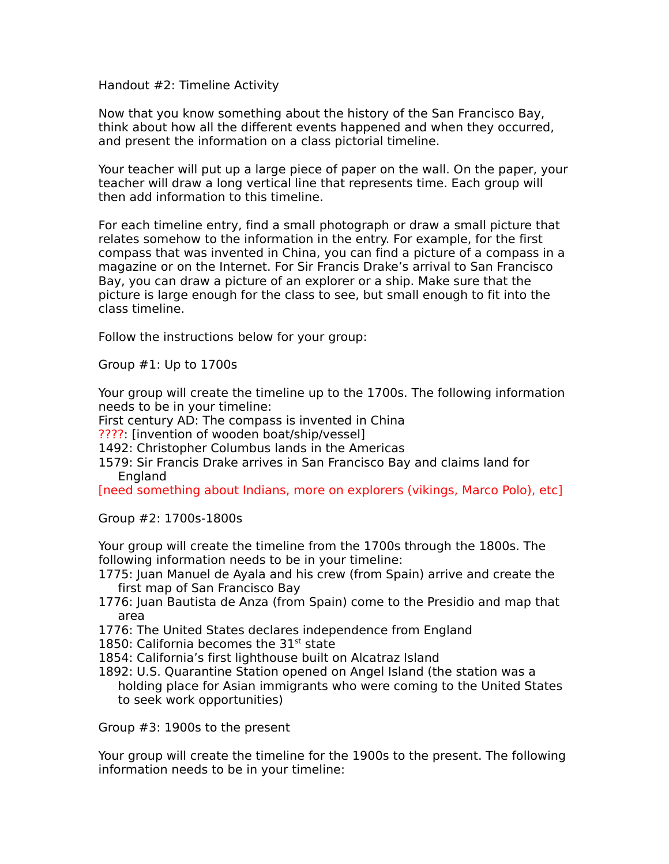Handout #2: Timeline Activity

Now that you know something about the history of the San Francisco Bay, think about how all the different events happened and when they occurred, and present the information on a class pictorial timeline.

Your teacher will put up a large piece of paper on the wall. On the paper, your teacher will draw a long vertical line that represents time. Each group will then add information to this timeline.

For each timeline entry, find a small photograph or draw a small picture that relates somehow to the information in the entry. For example, for the first compass that was invented in China, you can find a picture of a compass in a magazine or on the Internet. For Sir Francis Drake's arrival to San Francisco Bay, you can draw a picture of an explorer or a ship. Make sure that the picture is large enough for the class to see, but small enough to fit into the class timeline.

Follow the instructions below for your group:

Group #1: Up to 1700s

Your group will create the timeline up to the 1700s. The following information needs to be in your timeline:

First century AD: The compass is invented in China

????: [invention of wooden boat/ship/vessel]

- 1492: Christopher Columbus lands in the Americas
- 1579: Sir Francis Drake arrives in San Francisco Bay and claims land for England

[need something about Indians, more on explorers (vikings, Marco Polo), etc]

Group #2: 1700s-1800s

Your group will create the timeline from the 1700s through the 1800s. The following information needs to be in your timeline:

- 1775: Juan Manuel de Ayala and his crew (from Spain) arrive and create the first map of San Francisco Bay
- 1776: Juan Bautista de Anza (from Spain) come to the Presidio and map that area
- 1776: The United States declares independence from England
- 1850: California becomes the  $31<sup>st</sup>$  state
- 1854: California's first lighthouse built on Alcatraz Island
- 1892: U.S. Quarantine Station opened on Angel Island (the station was a holding place for Asian immigrants who were coming to the United States to seek work opportunities)

Group #3: 1900s to the present

Your group will create the timeline for the 1900s to the present. The following information needs to be in your timeline: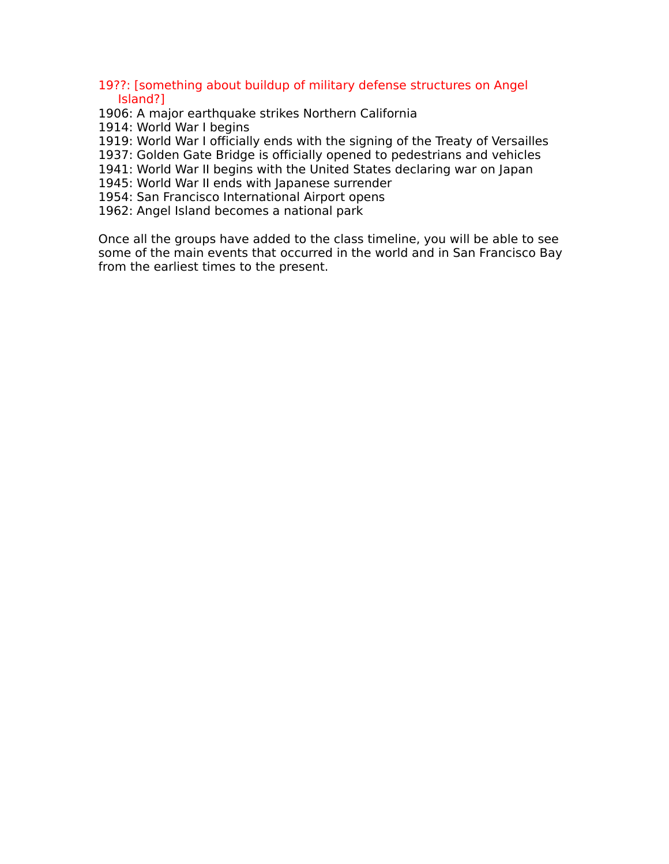#### 19??: [something about buildup of military defense structures on Angel Island?]

1906: A major earthquake strikes Northern California

1914: World War I begins

1919: World War I officially ends with the signing of the Treaty of Versailles

1937: Golden Gate Bridge is officially opened to pedestrians and vehicles

1941: World War II begins with the United States declaring war on Japan

1945: World War II ends with Japanese surrender

1954: San Francisco International Airport opens

1962: Angel Island becomes a national park

Once all the groups have added to the class timeline, you will be able to see some of the main events that occurred in the world and in San Francisco Bay from the earliest times to the present.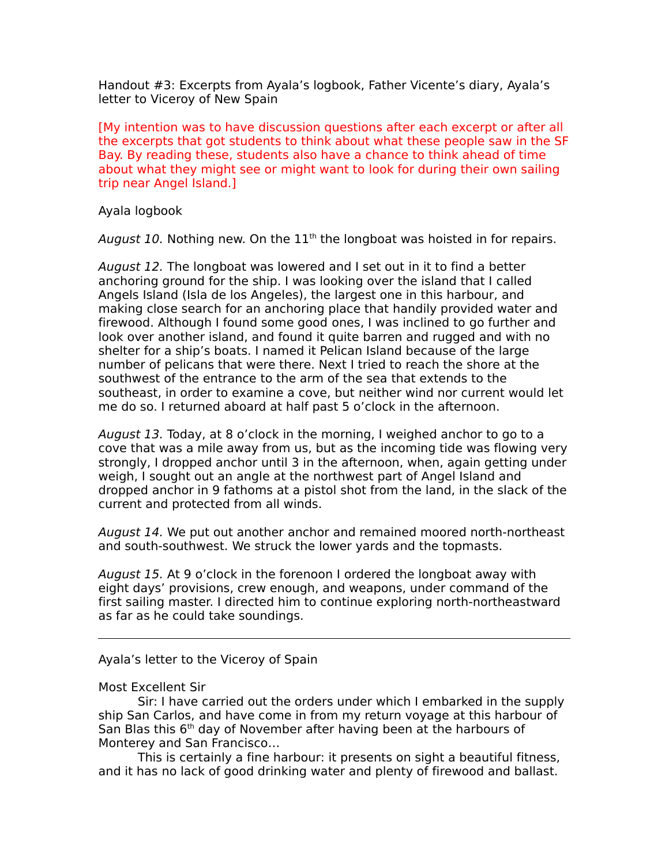Handout #3: Excerpts from Ayala's logbook, Father Vicente's diary, Ayala's letter to Viceroy of New Spain

[My intention was to have discussion questions after each excerpt or after all the excerpts that got students to think about what these people saw in the SF Bay. By reading these, students also have a chance to think ahead of time about what they might see or might want to look for during their own sailing trip near Angel Island.]

Ayala logbook

August 10. Nothing new. On the  $11<sup>th</sup>$  the longboat was hoisted in for repairs.

August 12. The longboat was lowered and I set out in it to find a better anchoring ground for the ship. I was looking over the island that I called Angels Island (Isla de los Angeles), the largest one in this harbour, and making close search for an anchoring place that handily provided water and firewood. Although I found some good ones, I was inclined to go further and look over another island, and found it quite barren and rugged and with no shelter for a ship's boats. I named it Pelican Island because of the large number of pelicans that were there. Next I tried to reach the shore at the southwest of the entrance to the arm of the sea that extends to the southeast, in order to examine a cove, but neither wind nor current would let me do so. I returned aboard at half past 5 o'clock in the afternoon.

August 13. Today, at 8 o'clock in the morning, I weighed anchor to go to a cove that was a mile away from us, but as the incoming tide was flowing very strongly, I dropped anchor until 3 in the afternoon, when, again getting under weigh, I sought out an angle at the northwest part of Angel Island and dropped anchor in 9 fathoms at a pistol shot from the land, in the slack of the current and protected from all winds.

August 14. We put out another anchor and remained moored north-northeast and south-southwest. We struck the lower yards and the topmasts.

August 15. At 9 o'clock in the forenoon I ordered the longboat away with eight days' provisions, crew enough, and weapons, under command of the first sailing master. I directed him to continue exploring north-northeastward as far as he could take soundings.

Ayala's letter to the Viceroy of Spain

#### Most Excellent Sir

Sir: I have carried out the orders under which I embarked in the supply ship San Carlos, and have come in from my return voyage at this harbour of San Blas this 6<sup>th</sup> day of November after having been at the harbours of Monterey and San Francisco…

This is certainly a fine harbour: it presents on sight a beautiful fitness, and it has no lack of good drinking water and plenty of firewood and ballast.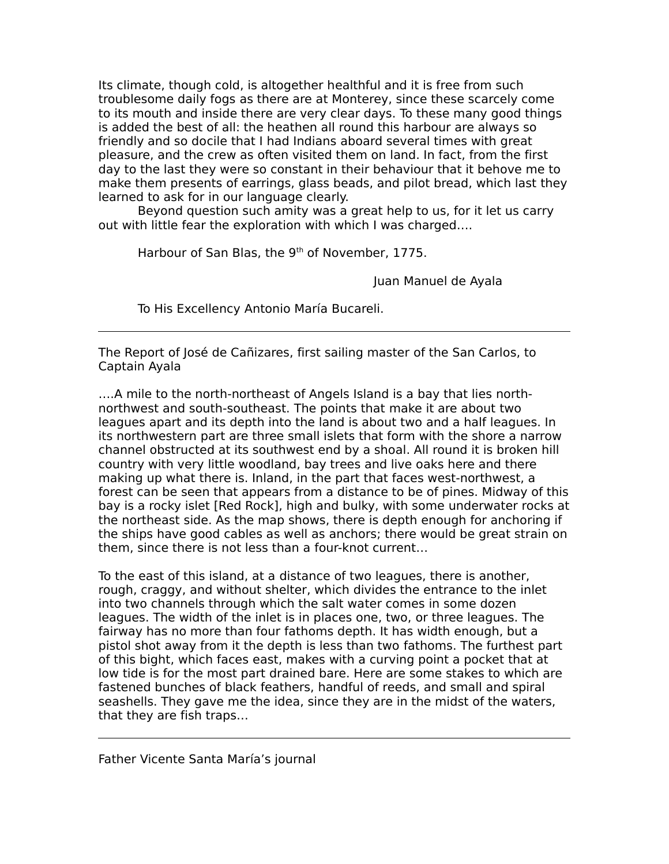Its climate, though cold, is altogether healthful and it is free from such troublesome daily fogs as there are at Monterey, since these scarcely come to its mouth and inside there are very clear days. To these many good things is added the best of all: the heathen all round this harbour are always so friendly and so docile that I had Indians aboard several times with great pleasure, and the crew as often visited them on land. In fact, from the first day to the last they were so constant in their behaviour that it behove me to make them presents of earrings, glass beads, and pilot bread, which last they learned to ask for in our language clearly.

Beyond question such amity was a great help to us, for it let us carry out with little fear the exploration with which I was charged….

Harbour of San Blas, the 9<sup>th</sup> of November, 1775.

Juan Manuel de Ayala

To His Excellency Antonio María Bucareli.

The Report of José de Cañizares, first sailing master of the San Carlos, to Captain Ayala

….A mile to the north-northeast of Angels Island is a bay that lies northnorthwest and south-southeast. The points that make it are about two leagues apart and its depth into the land is about two and a half leagues. In its northwestern part are three small islets that form with the shore a narrow channel obstructed at its southwest end by a shoal. All round it is broken hill country with very little woodland, bay trees and live oaks here and there making up what there is. Inland, in the part that faces west-northwest, a forest can be seen that appears from a distance to be of pines. Midway of this bay is a rocky islet [Red Rock], high and bulky, with some underwater rocks at the northeast side. As the map shows, there is depth enough for anchoring if the ships have good cables as well as anchors; there would be great strain on them, since there is not less than a four-knot current…

To the east of this island, at a distance of two leagues, there is another, rough, craggy, and without shelter, which divides the entrance to the inlet into two channels through which the salt water comes in some dozen leagues. The width of the inlet is in places one, two, or three leagues. The fairway has no more than four fathoms depth. It has width enough, but a pistol shot away from it the depth is less than two fathoms. The furthest part of this bight, which faces east, makes with a curving point a pocket that at low tide is for the most part drained bare. Here are some stakes to which are fastened bunches of black feathers, handful of reeds, and small and spiral seashells. They gave me the idea, since they are in the midst of the waters, that they are fish traps…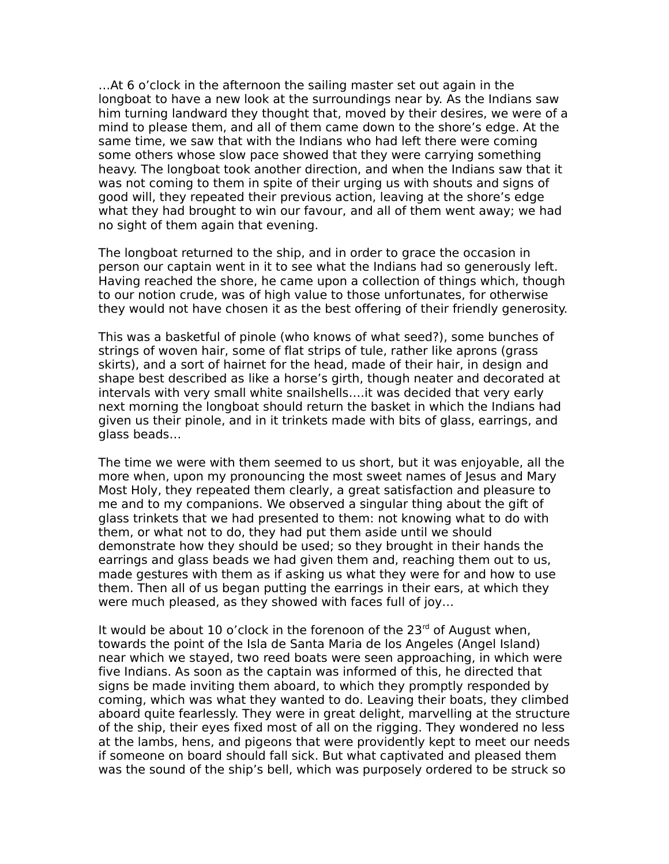…At 6 o'clock in the afternoon the sailing master set out again in the longboat to have a new look at the surroundings near by. As the Indians saw him turning landward they thought that, moved by their desires, we were of a mind to please them, and all of them came down to the shore's edge. At the same time, we saw that with the Indians who had left there were coming some others whose slow pace showed that they were carrying something heavy. The longboat took another direction, and when the Indians saw that it was not coming to them in spite of their urging us with shouts and signs of good will, they repeated their previous action, leaving at the shore's edge what they had brought to win our favour, and all of them went away; we had no sight of them again that evening.

The longboat returned to the ship, and in order to grace the occasion in person our captain went in it to see what the Indians had so generously left. Having reached the shore, he came upon a collection of things which, though to our notion crude, was of high value to those unfortunates, for otherwise they would not have chosen it as the best offering of their friendly generosity.

This was a basketful of pinole (who knows of what seed?), some bunches of strings of woven hair, some of flat strips of tule, rather like aprons (grass skirts), and a sort of hairnet for the head, made of their hair, in design and shape best described as like a horse's girth, though neater and decorated at intervals with very small white snailshells….it was decided that very early next morning the longboat should return the basket in which the Indians had given us their pinole, and in it trinkets made with bits of glass, earrings, and glass beads…

The time we were with them seemed to us short, but it was enjoyable, all the more when, upon my pronouncing the most sweet names of Jesus and Mary Most Holy, they repeated them clearly, a great satisfaction and pleasure to me and to my companions. We observed a singular thing about the gift of glass trinkets that we had presented to them: not knowing what to do with them, or what not to do, they had put them aside until we should demonstrate how they should be used; so they brought in their hands the earrings and glass beads we had given them and, reaching them out to us, made gestures with them as if asking us what they were for and how to use them. Then all of us began putting the earrings in their ears, at which they were much pleased, as they showed with faces full of joy…

It would be about 10 o'clock in the forenoon of the 23 $^{\text{rd}}$  of August when, towards the point of the Isla de Santa Maria de los Angeles (Angel Island) near which we stayed, two reed boats were seen approaching, in which were five Indians. As soon as the captain was informed of this, he directed that signs be made inviting them aboard, to which they promptly responded by coming, which was what they wanted to do. Leaving their boats, they climbed aboard quite fearlessly. They were in great delight, marvelling at the structure of the ship, their eyes fixed most of all on the rigging. They wondered no less at the lambs, hens, and pigeons that were providently kept to meet our needs if someone on board should fall sick. But what captivated and pleased them was the sound of the ship's bell, which was purposely ordered to be struck so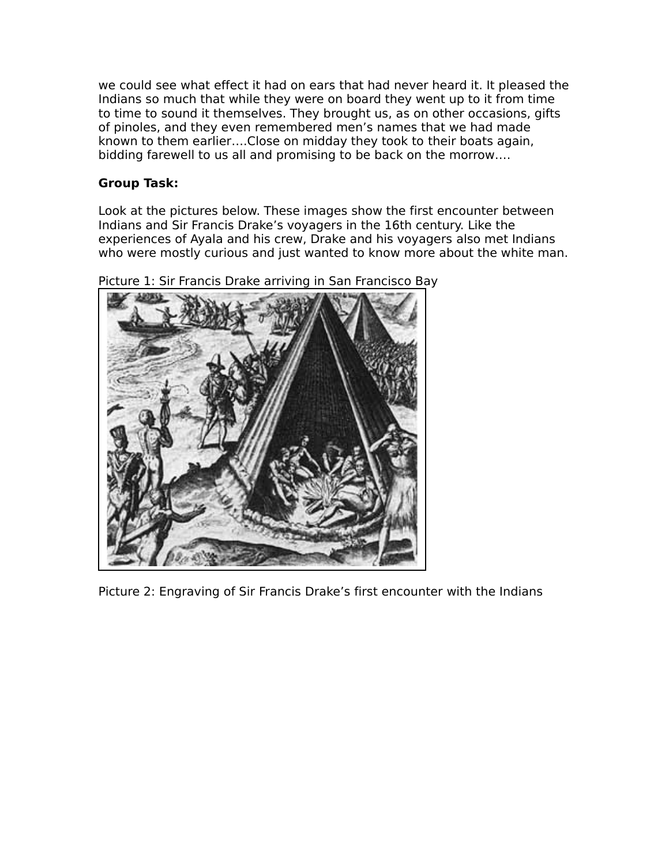we could see what effect it had on ears that had never heard it. It pleased the Indians so much that while they were on board they went up to it from time to time to sound it themselves. They brought us, as on other occasions, gifts of pinoles, and they even remembered men's names that we had made known to them earlier….Close on midday they took to their boats again, bidding farewell to us all and promising to be back on the morrow….

### **Group Task:**

Look at the pictures below. These images show the first encounter between Indians and Sir Francis Drake's voyagers in the 16th century. Like the experiences of Ayala and his crew, Drake and his voyagers also met Indians who were mostly curious and just wanted to know more about the white man.



Picture 1: Sir Francis Drake arriving in San Francisco Bay

Picture 2: Engraving of Sir Francis Drake's first encounter with the Indians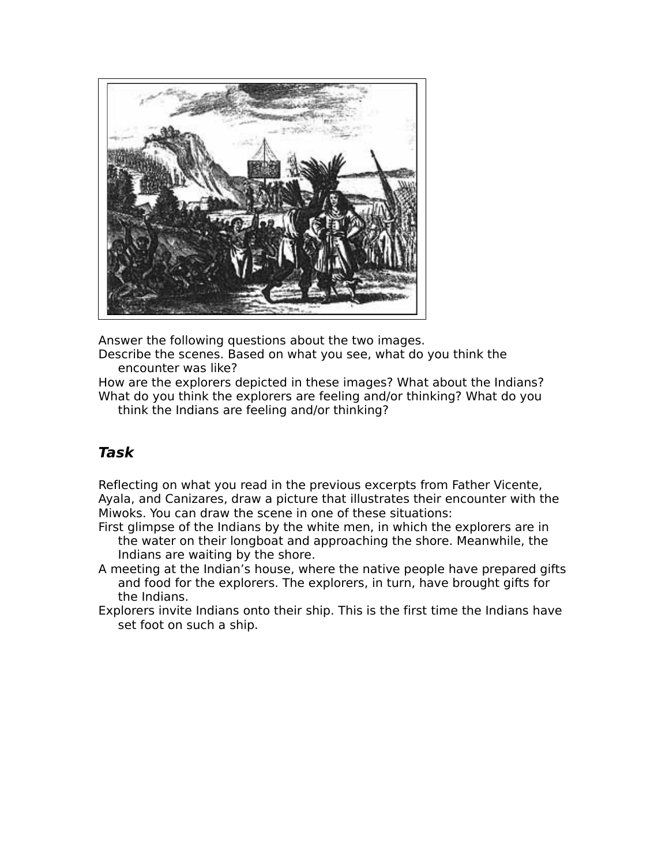

Answer the following questions about the two images.

Describe the scenes. Based on what you see, what do you think the encounter was like?

How are the explorers depicted in these images? What about the Indians? What do you think the explorers are feeling and/or thinking? What do you

think the Indians are feeling and/or thinking?

## **Task**

Reflecting on what you read in the previous excerpts from Father Vicente, Ayala, and Canizares, draw a picture that illustrates their encounter with the Miwoks. You can draw the scene in one of these situations:

- First glimpse of the Indians by the white men, in which the explorers are in the water on their longboat and approaching the shore. Meanwhile, the Indians are waiting by the shore.
- A meeting at the Indian's house, where the native people have prepared gifts and food for the explorers. The explorers, in turn, have brought gifts for the Indians.
- Explorers invite Indians onto their ship. This is the first time the Indians have set foot on such a ship.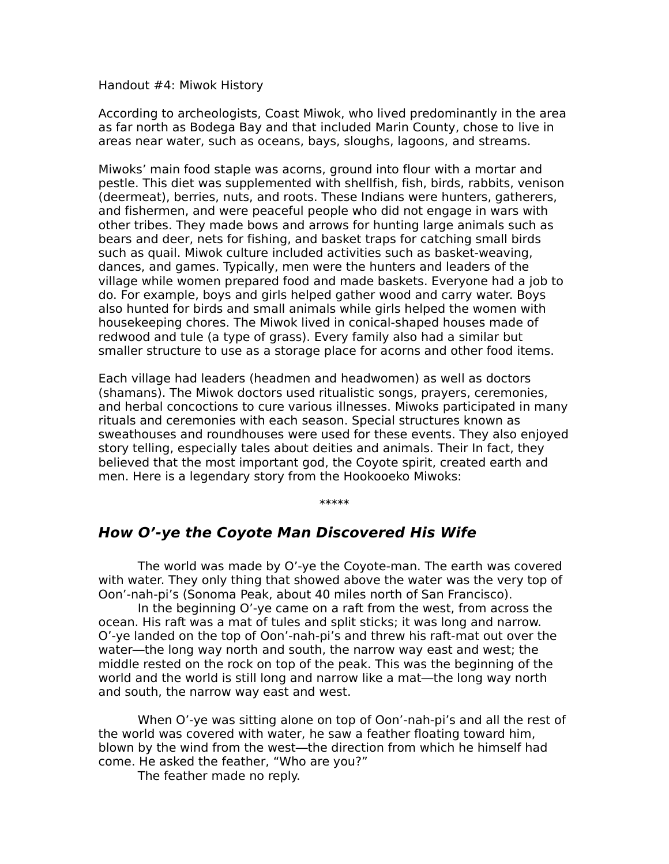Handout #4: Miwok History

According to archeologists, Coast Miwok, who lived predominantly in the area as far north as Bodega Bay and that included Marin County, chose to live in areas near water, such as oceans, bays, sloughs, lagoons, and streams.

Miwoks' main food staple was acorns, ground into flour with a mortar and pestle. This diet was supplemented with shellfish, fish, birds, rabbits, venison (deermeat), berries, nuts, and roots. These Indians were hunters, gatherers, and fishermen, and were peaceful people who did not engage in wars with other tribes. They made bows and arrows for hunting large animals such as bears and deer, nets for fishing, and basket traps for catching small birds such as quail. Miwok culture included activities such as basket-weaving, dances, and games. Typically, men were the hunters and leaders of the village while women prepared food and made baskets. Everyone had a job to do. For example, boys and girls helped gather wood and carry water. Boys also hunted for birds and small animals while girls helped the women with housekeeping chores. The Miwok lived in conical-shaped houses made of redwood and tule (a type of grass). Every family also had a similar but smaller structure to use as a storage place for acorns and other food items.

Each village had leaders (headmen and headwomen) as well as doctors (shamans). The Miwok doctors used ritualistic songs, prayers, ceremonies, and herbal concoctions to cure various illnesses. Miwoks participated in many rituals and ceremonies with each season. Special structures known as sweathouses and roundhouses were used for these events. They also enjoyed story telling, especially tales about deities and animals. Their In fact, they believed that the most important god, the Coyote spirit, created earth and men. Here is a legendary story from the Hookooeko Miwoks:

\*\*\*\*\*

## **How O'-ye the Coyote Man Discovered His Wife**

The world was made by O'-ye the Coyote-man. The earth was covered with water. They only thing that showed above the water was the very top of Oon'-nah-pi's (Sonoma Peak, about 40 miles north of San Francisco).

In the beginning O'-ye came on a raft from the west, from across the ocean. His raft was a mat of tules and split sticks; it was long and narrow. O'-ye landed on the top of Oon'-nah-pi's and threw his raft-mat out over the water—the long way north and south, the narrow way east and west; the middle rested on the rock on top of the peak. This was the beginning of the world and the world is still long and narrow like a mat—the long way north and south, the narrow way east and west.

When O'-ye was sitting alone on top of Oon'-nah-pi's and all the rest of the world was covered with water, he saw a feather floating toward him, blown by the wind from the west—the direction from which he himself had come. He asked the feather, "Who are you?"

The feather made no reply.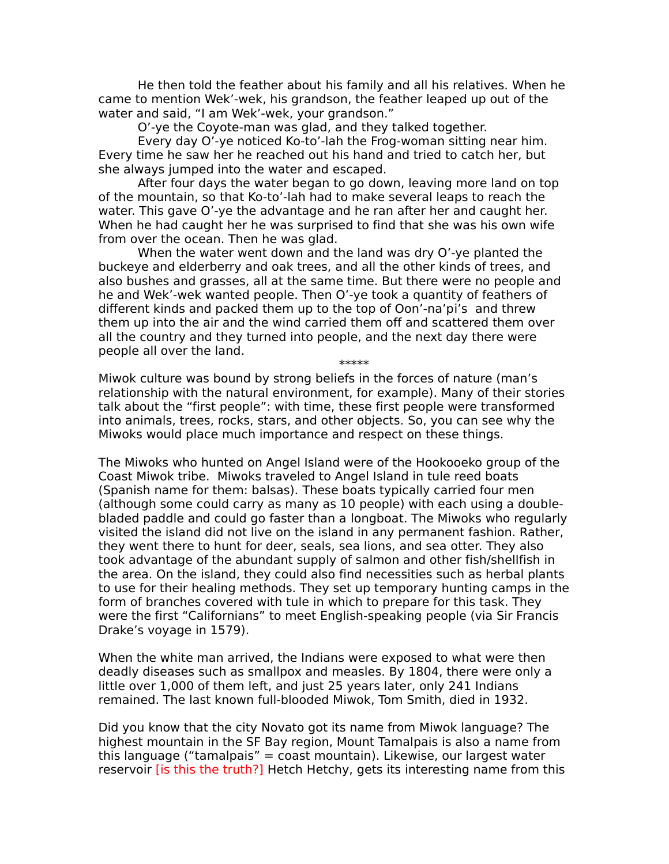He then told the feather about his family and all his relatives. When he came to mention Wek'-wek, his grandson, the feather leaped up out of the water and said, "I am Wek'-wek, your grandson."

O'-ye the Coyote-man was glad, and they talked together.

Every day O'-ye noticed Ko-to'-lah the Frog-woman sitting near him. Every time he saw her he reached out his hand and tried to catch her, but she always jumped into the water and escaped.

After four days the water began to go down, leaving more land on top of the mountain, so that Ko-to'-lah had to make several leaps to reach the water. This gave O'-ye the advantage and he ran after her and caught her. When he had caught her he was surprised to find that she was his own wife from over the ocean. Then he was glad.

When the water went down and the land was dry O'-ye planted the buckeye and elderberry and oak trees, and all the other kinds of trees, and also bushes and grasses, all at the same time. But there were no people and he and Wek'-wek wanted people. Then O'-ye took a quantity of feathers of different kinds and packed them up to the top of Oon'-na'pi's and threw them up into the air and the wind carried them off and scattered them over all the country and they turned into people, and the next day there were people all over the land.

\*\*\*\*\*

Miwok culture was bound by strong beliefs in the forces of nature (man's relationship with the natural environment, for example). Many of their stories talk about the "first people": with time, these first people were transformed into animals, trees, rocks, stars, and other objects. So, you can see why the Miwoks would place much importance and respect on these things.

The Miwoks who hunted on Angel Island were of the Hookooeko group of the Coast Miwok tribe. Miwoks traveled to Angel Island in tule reed boats (Spanish name for them: balsas). These boats typically carried four men (although some could carry as many as 10 people) with each using a doublebladed paddle and could go faster than a longboat. The Miwoks who regularly visited the island did not live on the island in any permanent fashion. Rather, they went there to hunt for deer, seals, sea lions, and sea otter. They also took advantage of the abundant supply of salmon and other fish/shellfish in the area. On the island, they could also find necessities such as herbal plants to use for their healing methods. They set up temporary hunting camps in the form of branches covered with tule in which to prepare for this task. They were the first "Californians" to meet English-speaking people (via Sir Francis Drake's voyage in 1579).

When the white man arrived, the Indians were exposed to what were then deadly diseases such as smallpox and measles. By 1804, there were only a little over 1,000 of them left, and just 25 years later, only 241 Indians remained. The last known full-blooded Miwok, Tom Smith, died in 1932.

Did you know that the city Novato got its name from Miwok language? The highest mountain in the SF Bay region, Mount Tamalpais is also a name from this language ("tamalpais" = coast mountain). Likewise, our largest water reservoir [is this the truth?] Hetch Hetchy, gets its interesting name from this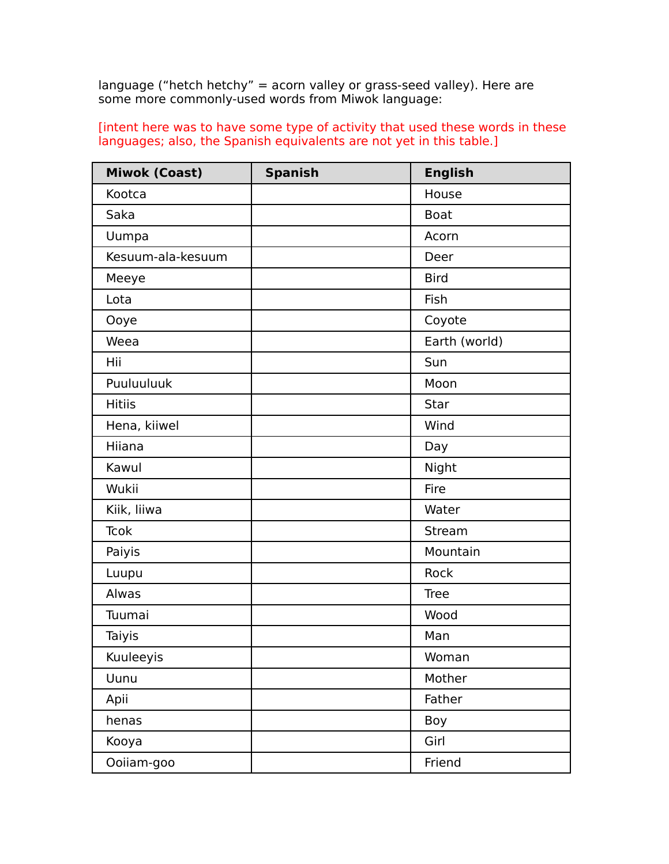language ("hetch hetchy" = acorn valley or grass-seed valley). Here are some more commonly-used words from Miwok language:

[intent here was to have some type of activity that used these words in these languages; also, the Spanish equivalents are not yet in this table.]

| <b>Miwok (Coast)</b> | <b>Spanish</b> | <b>English</b> |
|----------------------|----------------|----------------|
| Kootca               |                | House          |
| Saka                 |                | <b>Boat</b>    |
| Uumpa                |                | Acorn          |
| Kesuum-ala-kesuum    |                | Deer           |
| Meeye                |                | <b>Bird</b>    |
| Lota                 |                | Fish           |
| Ooye                 |                | Coyote         |
| Weea                 |                | Earth (world)  |
| Hii                  |                | Sun            |
| Puuluuluuk           |                | Moon           |
| <b>Hitiis</b>        |                | Star           |
| Hena, kiiwel         |                | Wind           |
| Hiiana               |                | Day            |
| Kawul                |                | Night          |
| Wukii                |                | Fire           |
| Kiik, liiwa          |                | Water          |
| <b>Tcok</b>          |                | Stream         |
| Paiyis               |                | Mountain       |
| Luupu                |                | Rock           |
| Alwas                |                | <b>Tree</b>    |
| Tuumai               |                | Wood           |
| <b>Taiyis</b>        |                | Man            |
| Kuuleeyis            |                | Woman          |
| Uunu                 |                | Mother         |
| Apii                 |                | Father         |
| henas                |                | Boy            |
| Kooya                |                | Girl           |
| Ooiiam-goo           |                | Friend         |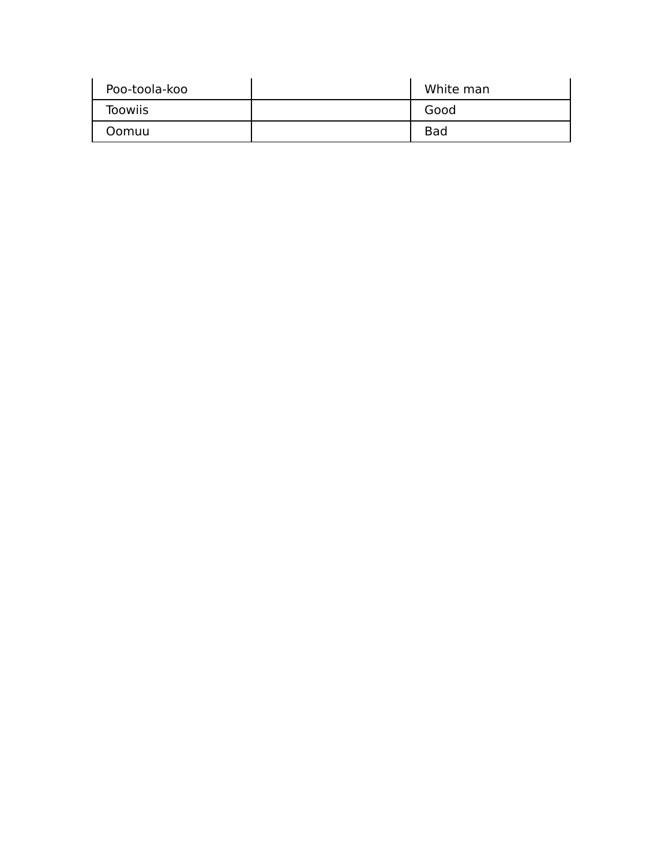| Poo-toola-koo  | White man  |
|----------------|------------|
| <b>Toowiis</b> | Good       |
| Oomuu          | <b>Bad</b> |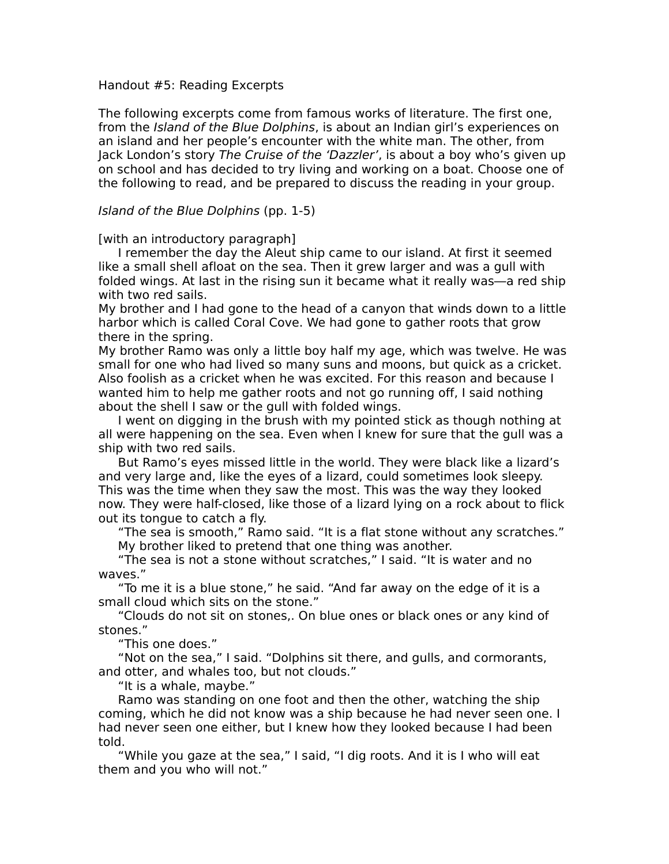Handout #5: Reading Excerpts

The following excerpts come from famous works of literature. The first one, from the Island of the Blue Dolphins, is about an Indian girl's experiences on an island and her people's encounter with the white man. The other, from Jack London's story The Cruise of the 'Dazzler', is about a boy who's given up on school and has decided to try living and working on a boat. Choose one of the following to read, and be prepared to discuss the reading in your group.

#### Island of the Blue Dolphins (pp. 1-5)

[with an introductory paragraph]

I remember the day the Aleut ship came to our island. At first it seemed like a small shell afloat on the sea. Then it grew larger and was a gull with folded wings. At last in the rising sun it became what it really was—a red ship with two red sails.

My brother and I had gone to the head of a canyon that winds down to a little harbor which is called Coral Cove. We had gone to gather roots that grow there in the spring.

My brother Ramo was only a little boy half my age, which was twelve. He was small for one who had lived so many suns and moons, but quick as a cricket. Also foolish as a cricket when he was excited. For this reason and because I wanted him to help me gather roots and not go running off, I said nothing about the shell I saw or the gull with folded wings.

I went on digging in the brush with my pointed stick as though nothing at all were happening on the sea. Even when I knew for sure that the gull was a ship with two red sails.

But Ramo's eyes missed little in the world. They were black like a lizard's and very large and, like the eyes of a lizard, could sometimes look sleepy. This was the time when they saw the most. This was the way they looked now. They were half-closed, like those of a lizard lying on a rock about to flick out its tongue to catch a fly.

"The sea is smooth," Ramo said. "It is a flat stone without any scratches." My brother liked to pretend that one thing was another.

"The sea is not a stone without scratches," I said. "It is water and no waves."

"To me it is a blue stone," he said. "And far away on the edge of it is a small cloud which sits on the stone."

"Clouds do not sit on stones,. On blue ones or black ones or any kind of stones."

"This one does."

"Not on the sea," I said. "Dolphins sit there, and gulls, and cormorants, and otter, and whales too, but not clouds."

"It is a whale, maybe."

Ramo was standing on one foot and then the other, watching the ship coming, which he did not know was a ship because he had never seen one. I had never seen one either, but I knew how they looked because I had been told.

"While you gaze at the sea," I said, "I dig roots. And it is I who will eat them and you who will not."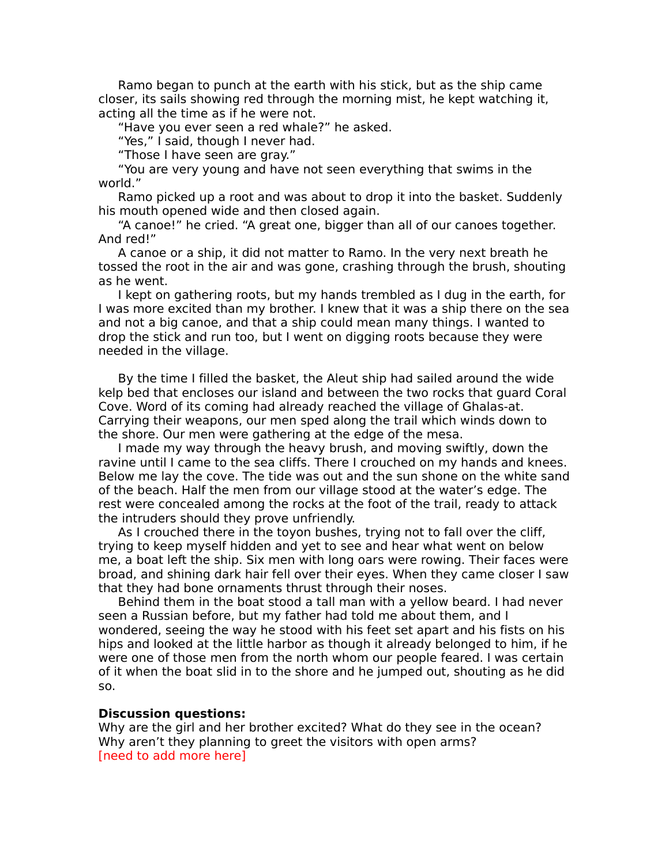Ramo began to punch at the earth with his stick, but as the ship came closer, its sails showing red through the morning mist, he kept watching it, acting all the time as if he were not.

"Have you ever seen a red whale?" he asked.

"Yes," I said, though I never had.

"Those I have seen are gray."

"You are very young and have not seen everything that swims in the world."

Ramo picked up a root and was about to drop it into the basket. Suddenly his mouth opened wide and then closed again.

"A canoe!" he cried. "A great one, bigger than all of our canoes together. And red!"

A canoe or a ship, it did not matter to Ramo. In the very next breath he tossed the root in the air and was gone, crashing through the brush, shouting as he went.

I kept on gathering roots, but my hands trembled as I dug in the earth, for I was more excited than my brother. I knew that it was a ship there on the sea and not a big canoe, and that a ship could mean many things. I wanted to drop the stick and run too, but I went on digging roots because they were needed in the village.

By the time I filled the basket, the Aleut ship had sailed around the wide kelp bed that encloses our island and between the two rocks that guard Coral Cove. Word of its coming had already reached the village of Ghalas-at. Carrying their weapons, our men sped along the trail which winds down to the shore. Our men were gathering at the edge of the mesa.

I made my way through the heavy brush, and moving swiftly, down the ravine until I came to the sea cliffs. There I crouched on my hands and knees. Below me lay the cove. The tide was out and the sun shone on the white sand of the beach. Half the men from our village stood at the water's edge. The rest were concealed among the rocks at the foot of the trail, ready to attack the intruders should they prove unfriendly.

As I crouched there in the toyon bushes, trying not to fall over the cliff, trying to keep myself hidden and yet to see and hear what went on below me, a boat left the ship. Six men with long oars were rowing. Their faces were broad, and shining dark hair fell over their eyes. When they came closer I saw that they had bone ornaments thrust through their noses.

Behind them in the boat stood a tall man with a yellow beard. I had never seen a Russian before, but my father had told me about them, and I wondered, seeing the way he stood with his feet set apart and his fists on his hips and looked at the little harbor as though it already belonged to him, if he were one of those men from the north whom our people feared. I was certain of it when the boat slid in to the shore and he jumped out, shouting as he did so.

#### **Discussion questions:**

Why are the girl and her brother excited? What do they see in the ocean? Why aren't they planning to greet the visitors with open arms? [need to add more here]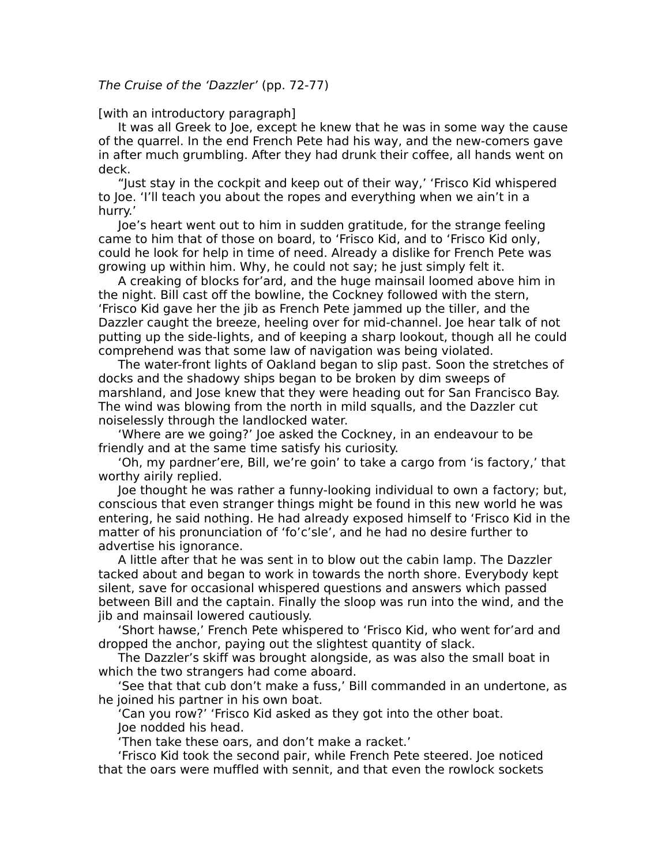The Cruise of the 'Dazzler' (pp. 72-77)

[with an introductory paragraph]

It was all Greek to Joe, except he knew that he was in some way the cause of the quarrel. In the end French Pete had his way, and the new-comers gave in after much grumbling. After they had drunk their coffee, all hands went on deck.

"Just stay in the cockpit and keep out of their way,' 'Frisco Kid whispered to Joe. 'I'll teach you about the ropes and everything when we ain't in a hurry.'

Joe's heart went out to him in sudden gratitude, for the strange feeling came to him that of those on board, to 'Frisco Kid, and to 'Frisco Kid only, could he look for help in time of need. Already a dislike for French Pete was growing up within him. Why, he could not say; he just simply felt it.

A creaking of blocks for'ard, and the huge mainsail loomed above him in the night. Bill cast off the bowline, the Cockney followed with the stern, 'Frisco Kid gave her the jib as French Pete jammed up the tiller, and the Dazzler caught the breeze, heeling over for mid-channel. Joe hear talk of not putting up the side-lights, and of keeping a sharp lookout, though all he could comprehend was that some law of navigation was being violated.

The water-front lights of Oakland began to slip past. Soon the stretches of docks and the shadowy ships began to be broken by dim sweeps of marshland, and Jose knew that they were heading out for San Francisco Bay. The wind was blowing from the north in mild squalls, and the Dazzler cut noiselessly through the landlocked water.

'Where are we going?' Joe asked the Cockney, in an endeavour to be friendly and at the same time satisfy his curiosity.

'Oh, my pardner'ere, Bill, we're goin' to take a cargo from 'is factory,' that worthy airily replied.

Joe thought he was rather a funny-looking individual to own a factory; but, conscious that even stranger things might be found in this new world he was entering, he said nothing. He had already exposed himself to 'Frisco Kid in the matter of his pronunciation of 'fo'c'sle', and he had no desire further to advertise his ignorance.

A little after that he was sent in to blow out the cabin lamp. The Dazzler tacked about and began to work in towards the north shore. Everybody kept silent, save for occasional whispered questions and answers which passed between Bill and the captain. Finally the sloop was run into the wind, and the jib and mainsail lowered cautiously.

'Short hawse,' French Pete whispered to 'Frisco Kid, who went for'ard and dropped the anchor, paying out the slightest quantity of slack.

The Dazzler's skiff was brought alongside, as was also the small boat in which the two strangers had come aboard.

'See that that cub don't make a fuss,' Bill commanded in an undertone, as he joined his partner in his own boat.

'Can you row?' 'Frisco Kid asked as they got into the other boat. Joe nodded his head.

'Then take these oars, and don't make a racket.'

'Frisco Kid took the second pair, while French Pete steered. Joe noticed that the oars were muffled with sennit, and that even the rowlock sockets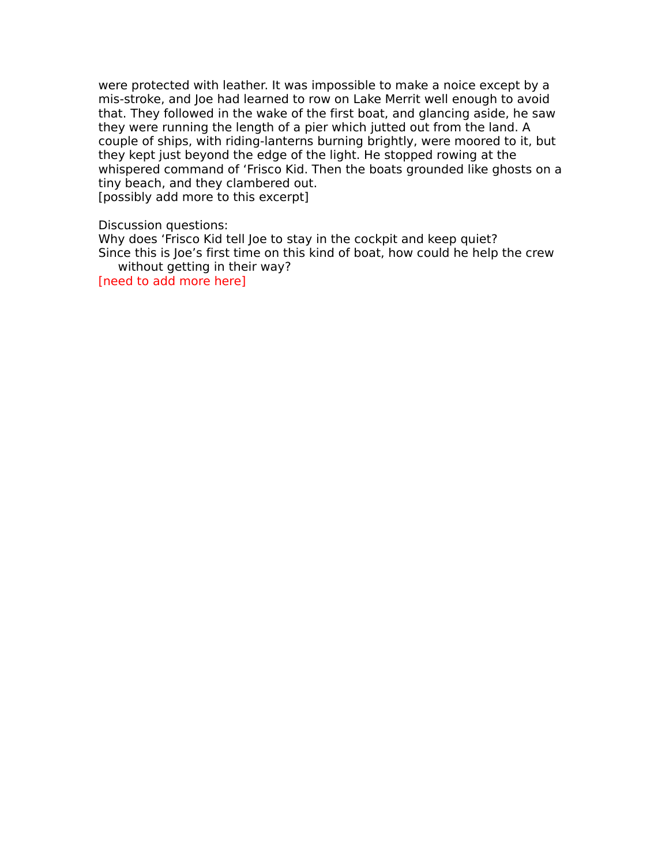were protected with leather. It was impossible to make a noice except by a mis-stroke, and Joe had learned to row on Lake Merrit well enough to avoid that. They followed in the wake of the first boat, and glancing aside, he saw they were running the length of a pier which jutted out from the land. A couple of ships, with riding-lanterns burning brightly, were moored to it, but they kept just beyond the edge of the light. He stopped rowing at the whispered command of 'Frisco Kid. Then the boats grounded like ghosts on a tiny beach, and they clambered out. [possibly add more to this excerpt]

Discussion questions:

Why does 'Frisco Kid tell Joe to stay in the cockpit and keep quiet? Since this is Joe's first time on this kind of boat, how could he help the crew without getting in their way?

[need to add more here]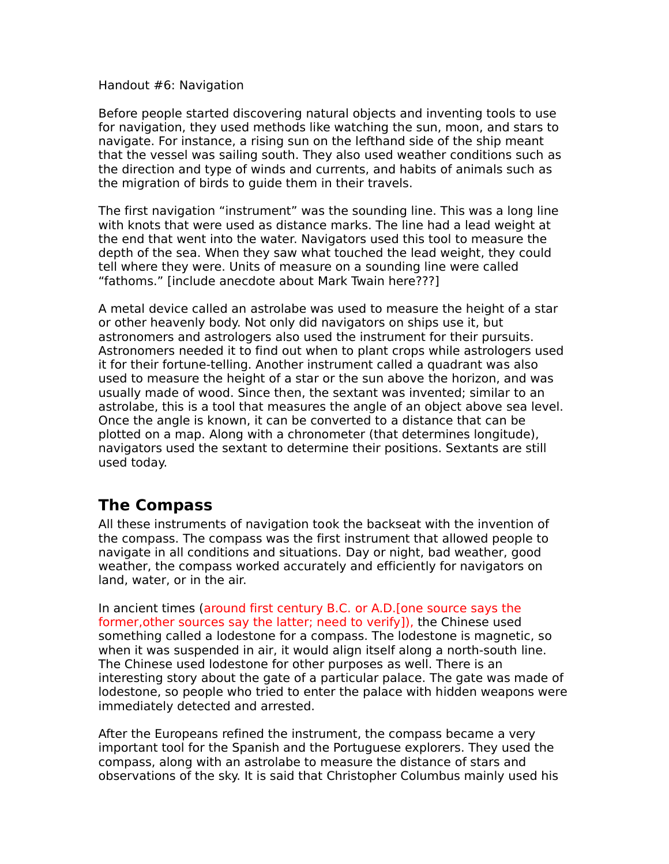Handout #6: Navigation

Before people started discovering natural objects and inventing tools to use for navigation, they used methods like watching the sun, moon, and stars to navigate. For instance, a rising sun on the lefthand side of the ship meant that the vessel was sailing south. They also used weather conditions such as the direction and type of winds and currents, and habits of animals such as the migration of birds to guide them in their travels.

The first navigation "instrument" was the sounding line. This was a long line with knots that were used as distance marks. The line had a lead weight at the end that went into the water. Navigators used this tool to measure the depth of the sea. When they saw what touched the lead weight, they could tell where they were. Units of measure on a sounding line were called "fathoms." [include anecdote about Mark Twain here???]

A metal device called an astrolabe was used to measure the height of a star or other heavenly body. Not only did navigators on ships use it, but astronomers and astrologers also used the instrument for their pursuits. Astronomers needed it to find out when to plant crops while astrologers used it for their fortune-telling. Another instrument called a quadrant was also used to measure the height of a star or the sun above the horizon, and was usually made of wood. Since then, the sextant was invented; similar to an astrolabe, this is a tool that measures the angle of an object above sea level. Once the angle is known, it can be converted to a distance that can be plotted on a map. Along with a chronometer (that determines longitude), navigators used the sextant to determine their positions. Sextants are still used today.

# **The Compass**

All these instruments of navigation took the backseat with the invention of the compass. The compass was the first instrument that allowed people to navigate in all conditions and situations. Day or night, bad weather, good weather, the compass worked accurately and efficiently for navigators on land, water, or in the air.

In ancient times (around first century B.C. or A.D.[one source says the former,other sources say the latter; need to verify]), the Chinese used something called a lodestone for a compass. The lodestone is magnetic, so when it was suspended in air, it would align itself along a north-south line. The Chinese used lodestone for other purposes as well. There is an interesting story about the gate of a particular palace. The gate was made of lodestone, so people who tried to enter the palace with hidden weapons were immediately detected and arrested.

After the Europeans refined the instrument, the compass became a very important tool for the Spanish and the Portuguese explorers. They used the compass, along with an astrolabe to measure the distance of stars and observations of the sky. It is said that Christopher Columbus mainly used his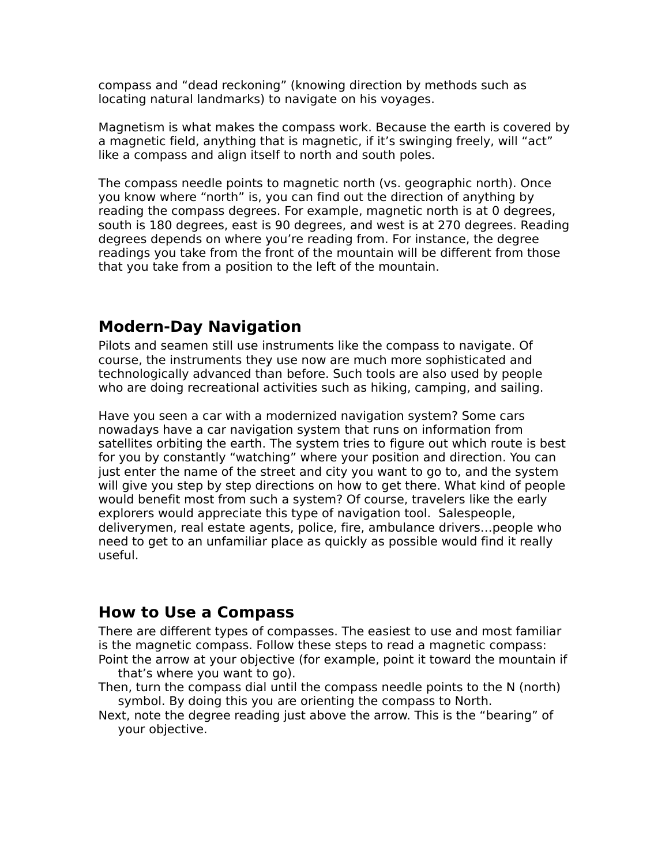compass and "dead reckoning" (knowing direction by methods such as locating natural landmarks) to navigate on his voyages.

Magnetism is what makes the compass work. Because the earth is covered by a magnetic field, anything that is magnetic, if it's swinging freely, will "act" like a compass and align itself to north and south poles.

The compass needle points to magnetic north (vs. geographic north). Once you know where "north" is, you can find out the direction of anything by reading the compass degrees. For example, magnetic north is at 0 degrees, south is 180 degrees, east is 90 degrees, and west is at 270 degrees. Reading degrees depends on where you're reading from. For instance, the degree readings you take from the front of the mountain will be different from those that you take from a position to the left of the mountain.

# **Modern-Day Navigation**

Pilots and seamen still use instruments like the compass to navigate. Of course, the instruments they use now are much more sophisticated and technologically advanced than before. Such tools are also used by people who are doing recreational activities such as hiking, camping, and sailing.

Have you seen a car with a modernized navigation system? Some cars nowadays have a car navigation system that runs on information from satellites orbiting the earth. The system tries to figure out which route is best for you by constantly "watching" where your position and direction. You can just enter the name of the street and city you want to go to, and the system will give you step by step directions on how to get there. What kind of people would benefit most from such a system? Of course, travelers like the early explorers would appreciate this type of navigation tool. Salespeople, deliverymen, real estate agents, police, fire, ambulance drivers…people who need to get to an unfamiliar place as quickly as possible would find it really useful.

## **How to Use a Compass**

There are different types of compasses. The easiest to use and most familiar is the magnetic compass. Follow these steps to read a magnetic compass: Point the arrow at your objective (for example, point it toward the mountain if that's where you want to go).

Then, turn the compass dial until the compass needle points to the N (north) symbol. By doing this you are orienting the compass to North.

Next, note the degree reading just above the arrow. This is the "bearing" of your objective.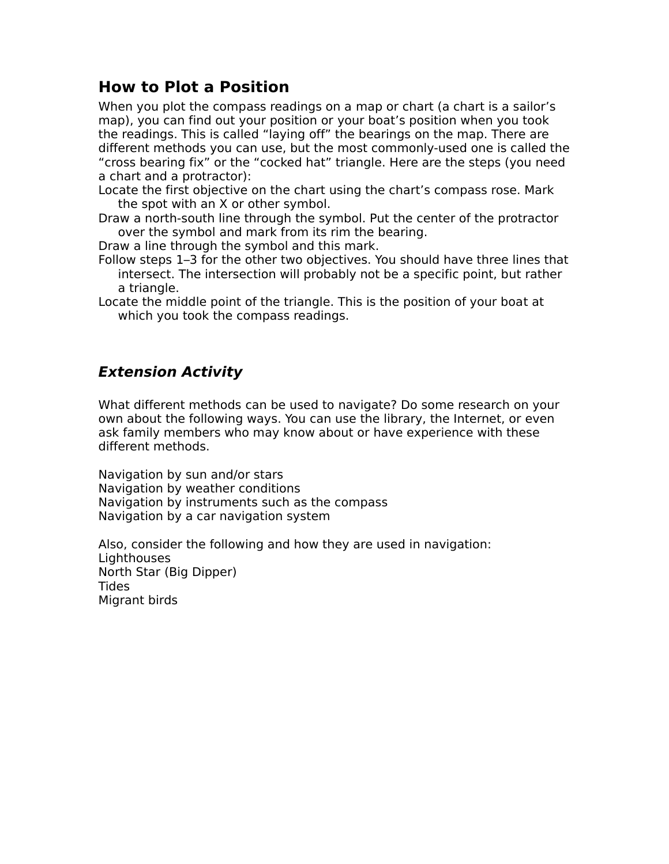# **How to Plot a Position**

When you plot the compass readings on a map or chart (a chart is a sailor's map), you can find out your position or your boat's position when you took the readings. This is called "laying off" the bearings on the map. There are different methods you can use, but the most commonly-used one is called the "cross bearing fix" or the "cocked hat" triangle. Here are the steps (you need a chart and a protractor):

- Locate the first objective on the chart using the chart's compass rose. Mark the spot with an X or other symbol.
- Draw a north-south line through the symbol. Put the center of the protractor over the symbol and mark from its rim the bearing.

Draw a line through the symbol and this mark.

- Follow steps 1–3 for the other two objectives. You should have three lines that intersect. The intersection will probably not be a specific point, but rather a triangle.
- Locate the middle point of the triangle. This is the position of your boat at which you took the compass readings.

# **Extension Activity**

What different methods can be used to navigate? Do some research on your own about the following ways. You can use the library, the Internet, or even ask family members who may know about or have experience with these different methods.

Navigation by sun and/or stars Navigation by weather conditions Navigation by instruments such as the compass Navigation by a car navigation system

Also, consider the following and how they are used in navigation: Lighthouses North Star (Big Dipper) Tides Migrant birds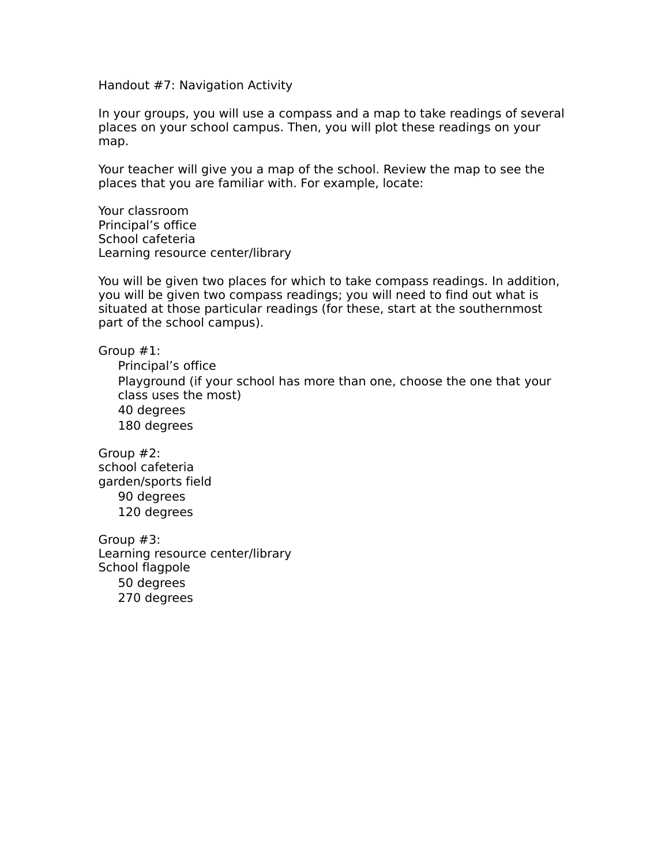Handout #7: Navigation Activity

In your groups, you will use a compass and a map to take readings of several places on your school campus. Then, you will plot these readings on your map.

Your teacher will give you a map of the school. Review the map to see the places that you are familiar with. For example, locate:

Your classroom Principal's office School cafeteria Learning resource center/library

You will be given two places for which to take compass readings. In addition, you will be given two compass readings; you will need to find out what is situated at those particular readings (for these, start at the southernmost part of the school campus).

Group #1:

Principal's office Playground (if your school has more than one, choose the one that your class uses the most) 40 degrees 180 degrees

Group #2: school cafeteria garden/sports field 90 degrees 120 degrees

Group #3: Learning resource center/library School flagpole 50 degrees 270 degrees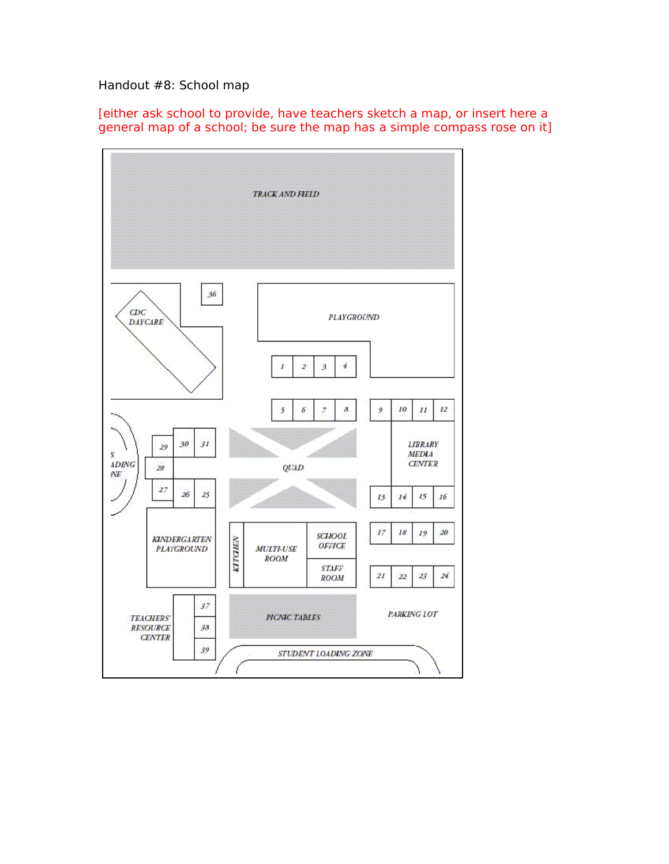Handout #8: School map

[either ask school to provide, have teachers sketch a map, or insert here a general map of a school; be sure the map has a simple compass rose on it]

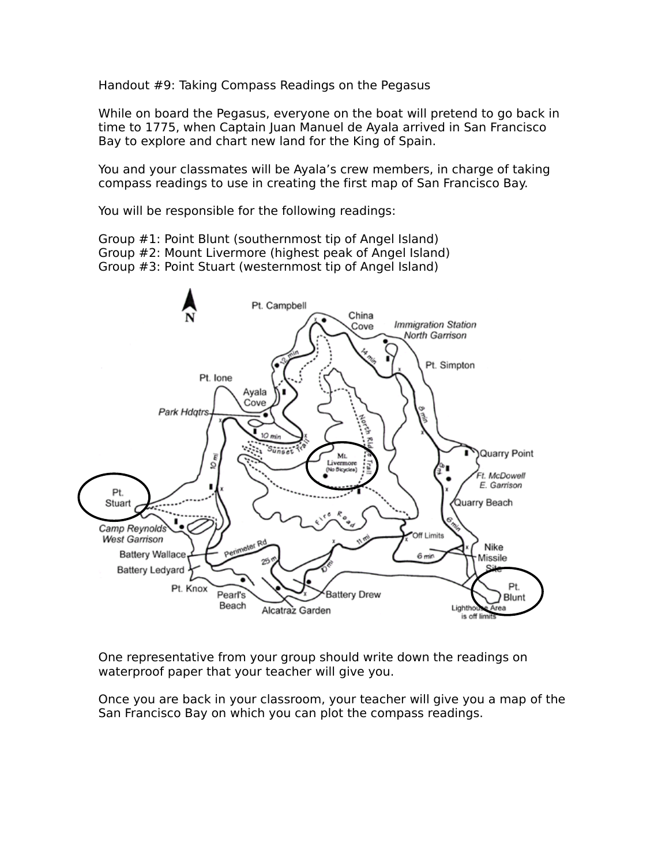Handout #9: Taking Compass Readings on the Pegasus

While on board the Pegasus, everyone on the boat will pretend to go back in time to 1775, when Captain Juan Manuel de Ayala arrived in San Francisco Bay to explore and chart new land for the King of Spain.

You and your classmates will be Ayala's crew members, in charge of taking compass readings to use in creating the first map of San Francisco Bay.

You will be responsible for the following readings:

Group #1: Point Blunt (southernmost tip of Angel Island) Group #2: Mount Livermore (highest peak of Angel Island) Group #3: Point Stuart (westernmost tip of Angel Island)



One representative from your group should write down the readings on waterproof paper that your teacher will give you.

Once you are back in your classroom, your teacher will give you a map of the San Francisco Bay on which you can plot the compass readings.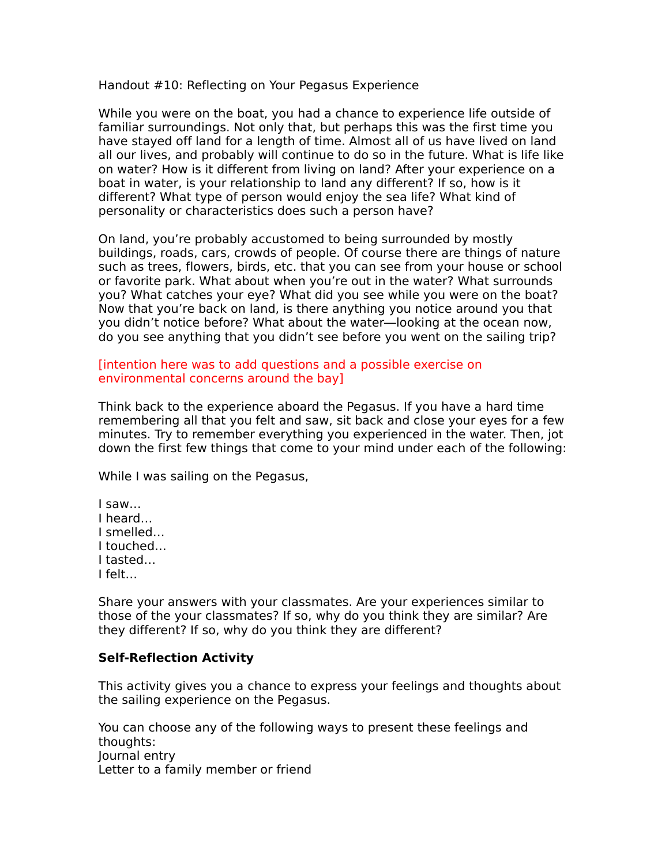Handout #10: Reflecting on Your Pegasus Experience

While you were on the boat, you had a chance to experience life outside of familiar surroundings. Not only that, but perhaps this was the first time you have stayed off land for a length of time. Almost all of us have lived on land all our lives, and probably will continue to do so in the future. What is life like on water? How is it different from living on land? After your experience on a boat in water, is your relationship to land any different? If so, how is it different? What type of person would enjoy the sea life? What kind of personality or characteristics does such a person have?

On land, you're probably accustomed to being surrounded by mostly buildings, roads, cars, crowds of people. Of course there are things of nature such as trees, flowers, birds, etc. that you can see from your house or school or favorite park. What about when you're out in the water? What surrounds you? What catches your eye? What did you see while you were on the boat? Now that you're back on land, is there anything you notice around you that you didn't notice before? What about the water—looking at the ocean now, do you see anything that you didn't see before you went on the sailing trip?

#### [intention here was to add questions and a possible exercise on environmental concerns around the bay]

Think back to the experience aboard the Pegasus. If you have a hard time remembering all that you felt and saw, sit back and close your eyes for a few minutes. Try to remember everything you experienced in the water. Then, jot down the first few things that come to your mind under each of the following:

While I was sailing on the Pegasus,

I saw… I heard… I smelled… I touched… I tasted… I felt…

Share your answers with your classmates. Are your experiences similar to those of the your classmates? If so, why do you think they are similar? Are they different? If so, why do you think they are different?

### **Self-Reflection Activity**

This activity gives you a chance to express your feelings and thoughts about the sailing experience on the Pegasus.

You can choose any of the following ways to present these feelings and thoughts: Journal entry Letter to a family member or friend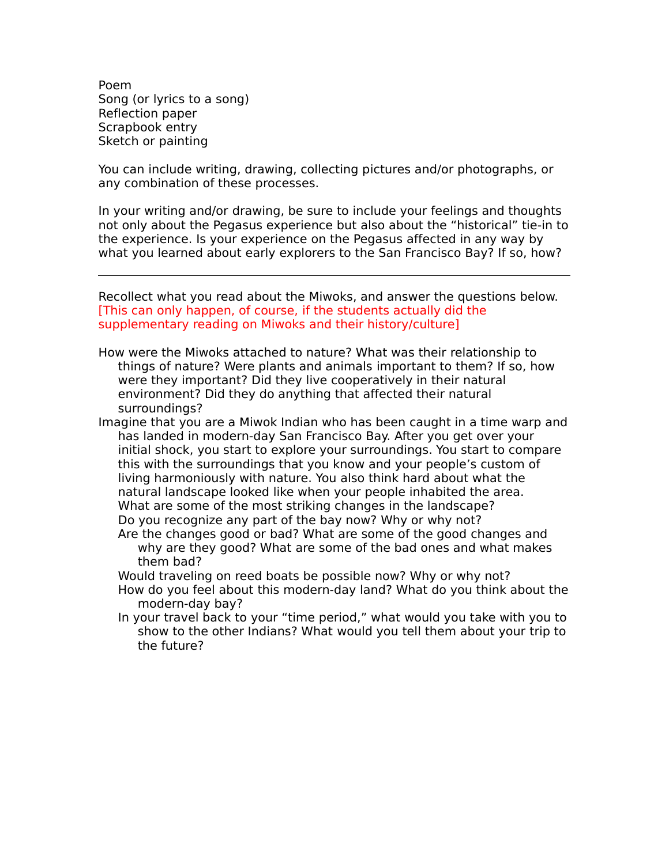Poem Song (or lyrics to a song) Reflection paper Scrapbook entry Sketch or painting

You can include writing, drawing, collecting pictures and/or photographs, or any combination of these processes.

In your writing and/or drawing, be sure to include your feelings and thoughts not only about the Pegasus experience but also about the "historical" tie-in to the experience. Is your experience on the Pegasus affected in any way by what you learned about early explorers to the San Francisco Bay? If so, how?

Recollect what you read about the Miwoks, and answer the questions below. [This can only happen, of course, if the students actually did the supplementary reading on Miwoks and their history/culture]

- How were the Miwoks attached to nature? What was their relationship to things of nature? Were plants and animals important to them? If so, how were they important? Did they live cooperatively in their natural environment? Did they do anything that affected their natural surroundings?
- Imagine that you are a Miwok Indian who has been caught in a time warp and has landed in modern-day San Francisco Bay. After you get over your initial shock, you start to explore your surroundings. You start to compare this with the surroundings that you know and your people's custom of living harmoniously with nature. You also think hard about what the natural landscape looked like when your people inhabited the area. What are some of the most striking changes in the landscape? Do you recognize any part of the bay now? Why or why not?
	- Are the changes good or bad? What are some of the good changes and why are they good? What are some of the bad ones and what makes them bad?

Would traveling on reed boats be possible now? Why or why not?

- How do you feel about this modern-day land? What do you think about the modern-day bay?
- In your travel back to your "time period," what would you take with you to show to the other Indians? What would you tell them about your trip to the future?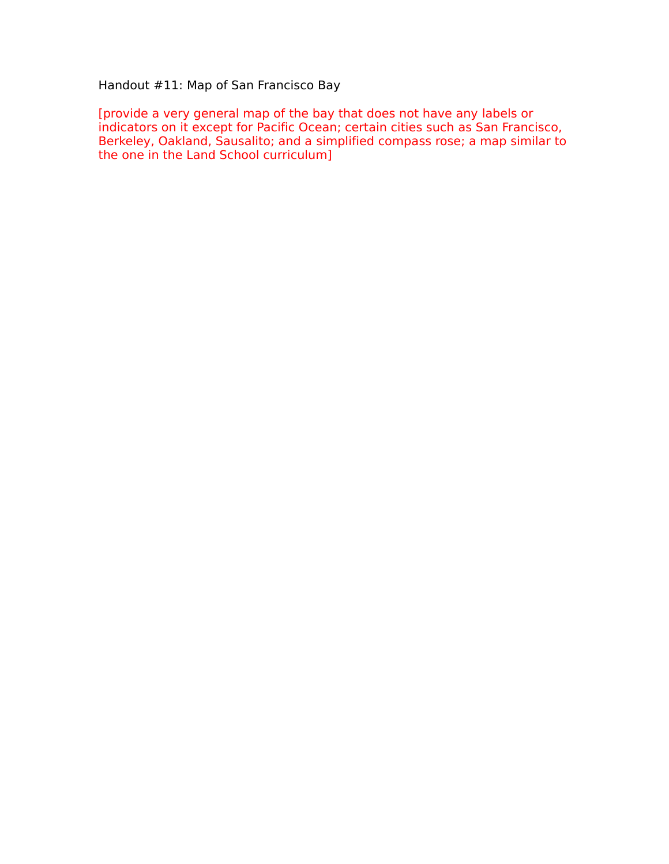Handout #11: Map of San Francisco Bay

[provide a very general map of the bay that does not have any labels or indicators on it except for Pacific Ocean; certain cities such as San Francisco, Berkeley, Oakland, Sausalito; and a simplified compass rose; a map similar to the one in the Land School curriculum]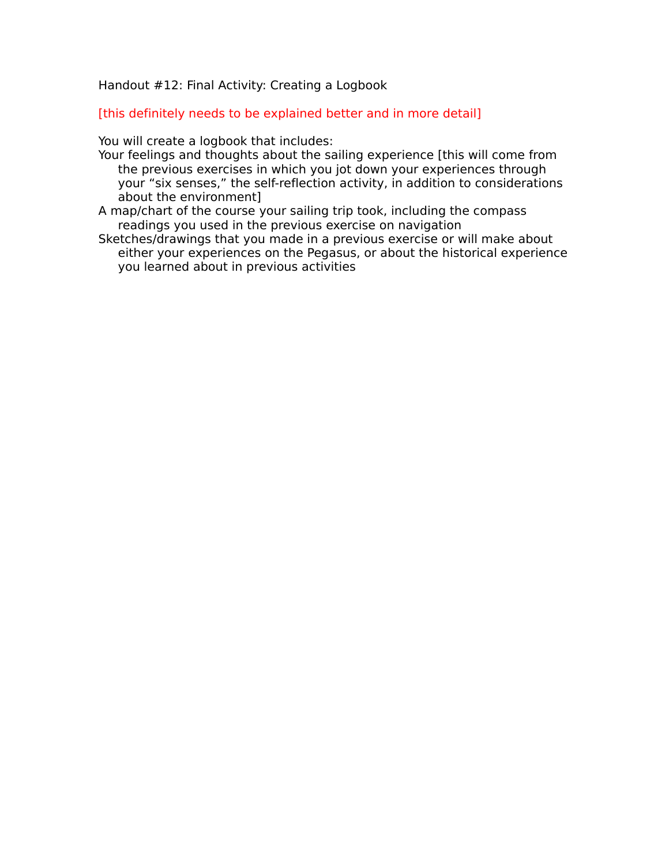Handout #12: Final Activity: Creating a Logbook

[this definitely needs to be explained better and in more detail]

You will create a logbook that includes:

- Your feelings and thoughts about the sailing experience [this will come from the previous exercises in which you jot down your experiences through your "six senses," the self-reflection activity, in addition to considerations about the environment]
- A map/chart of the course your sailing trip took, including the compass readings you used in the previous exercise on navigation
- Sketches/drawings that you made in a previous exercise or will make about either your experiences on the Pegasus, or about the historical experience you learned about in previous activities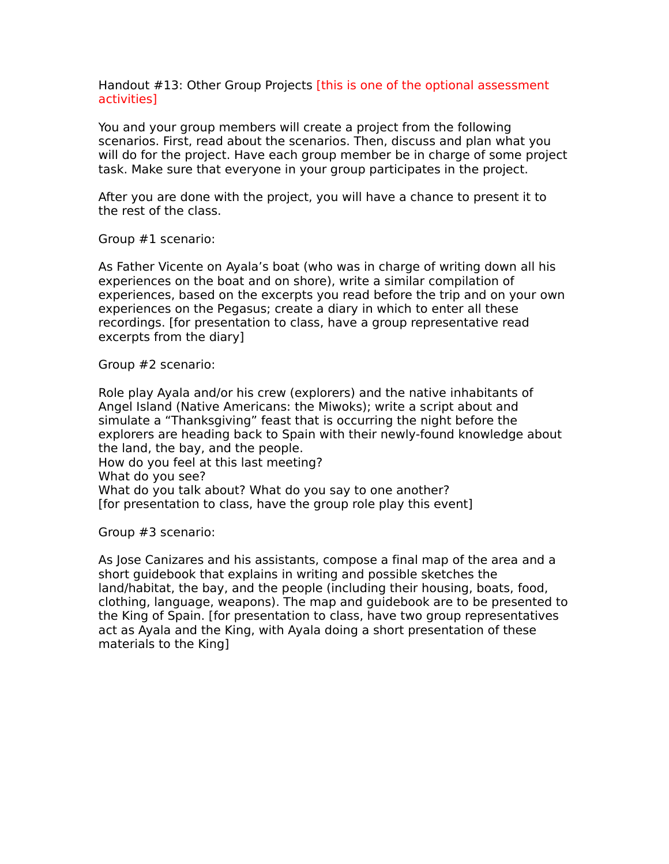Handout #13: Other Group Projects [this is one of the optional assessment activities]

You and your group members will create a project from the following scenarios. First, read about the scenarios. Then, discuss and plan what you will do for the project. Have each group member be in charge of some project task. Make sure that everyone in your group participates in the project.

After you are done with the project, you will have a chance to present it to the rest of the class.

Group #1 scenario:

As Father Vicente on Ayala's boat (who was in charge of writing down all his experiences on the boat and on shore), write a similar compilation of experiences, based on the excerpts you read before the trip and on your own experiences on the Pegasus; create a diary in which to enter all these recordings. [for presentation to class, have a group representative read excerpts from the diary]

Group #2 scenario:

Role play Ayala and/or his crew (explorers) and the native inhabitants of Angel Island (Native Americans: the Miwoks); write a script about and simulate a "Thanksgiving" feast that is occurring the night before the explorers are heading back to Spain with their newly-found knowledge about the land, the bay, and the people. How do you feel at this last meeting? What do you see? What do you talk about? What do you say to one another? [for presentation to class, have the group role play this event]

Group #3 scenario:

As Jose Canizares and his assistants, compose a final map of the area and a short guidebook that explains in writing and possible sketches the land/habitat, the bay, and the people (including their housing, boats, food, clothing, language, weapons). The map and guidebook are to be presented to the King of Spain. [for presentation to class, have two group representatives act as Ayala and the King, with Ayala doing a short presentation of these materials to the King]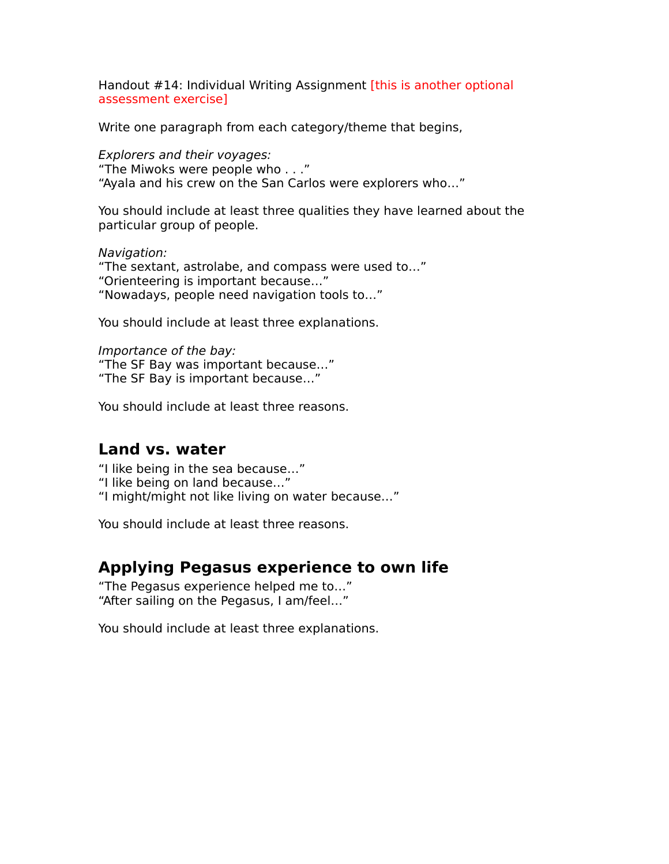Handout #14: Individual Writing Assignment [this is another optional assessment exercise]

Write one paragraph from each category/theme that begins,

Explorers and their voyages: "The Miwoks were people who . . ." "Ayala and his crew on the San Carlos were explorers who…"

You should include at least three qualities they have learned about the particular group of people.

Navigation:

"The sextant, astrolabe, and compass were used to…" "Orienteering is important because…" "Nowadays, people need navigation tools to…"

You should include at least three explanations.

Importance of the bay: "The SF Bay was important because…" "The SF Bay is important because…"

You should include at least three reasons.

## **Land vs. water**

"I like being in the sea because…"

"I like being on land because…"

"I might/might not like living on water because…"

You should include at least three reasons.

## **Applying Pegasus experience to own life**

"The Pegasus experience helped me to…" "After sailing on the Pegasus, I am/feel…"

You should include at least three explanations.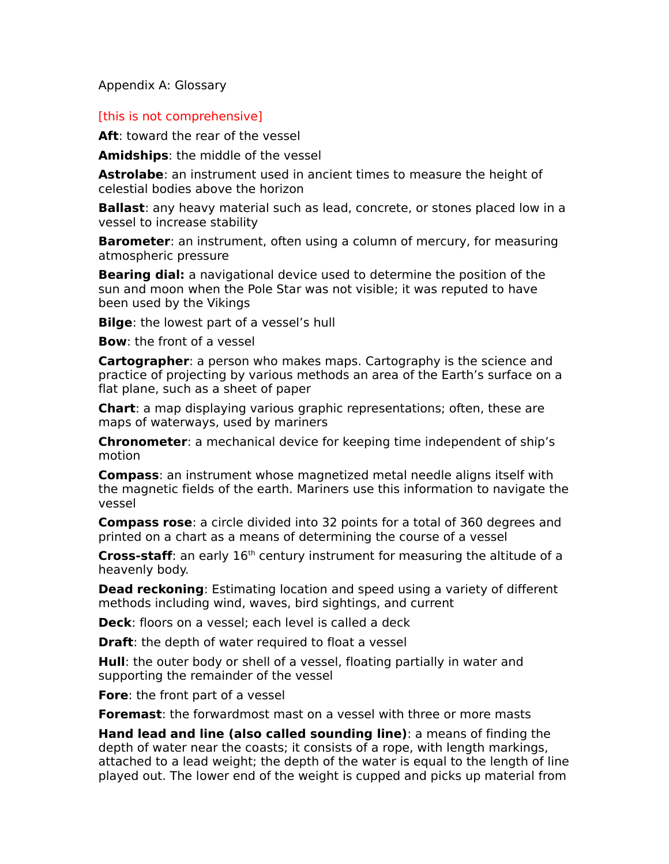Appendix A: Glossary

[this is not comprehensive]

**Aft**: toward the rear of the vessel

**Amidships**: the middle of the vessel

**Astrolabe**: an instrument used in ancient times to measure the height of celestial bodies above the horizon

**Ballast**: any heavy material such as lead, concrete, or stones placed low in a vessel to increase stability

**Barometer**: an instrument, often using a column of mercury, for measuring atmospheric pressure

**Bearing dial:** a navigational device used to determine the position of the sun and moon when the Pole Star was not visible; it was reputed to have been used by the Vikings

**Bilge**: the lowest part of a vessel's hull

**Bow**: the front of a vessel

**Cartographer**: a person who makes maps. Cartography is the science and practice of projecting by various methods an area of the Earth's surface on a flat plane, such as a sheet of paper

**Chart**: a map displaying various graphic representations; often, these are maps of waterways, used by mariners

**Chronometer**: a mechanical device for keeping time independent of ship's motion

**Compass**: an instrument whose magnetized metal needle aligns itself with the magnetic fields of the earth. Mariners use this information to navigate the vessel

**Compass rose**: a circle divided into 32 points for a total of 360 degrees and printed on a chart as a means of determining the course of a vessel

**Cross-staff**: an early 16<sup>th</sup> century instrument for measuring the altitude of a heavenly body.

**Dead reckoning**: Estimating location and speed using a variety of different methods including wind, waves, bird sightings, and current

**Deck**: floors on a vessel; each level is called a deck

**Draft**: the depth of water required to float a vessel

**Hull**: the outer body or shell of a vessel, floating partially in water and supporting the remainder of the vessel

**Fore**: the front part of a vessel

**Foremast**: the forwardmost mast on a vessel with three or more masts

**Hand lead and line (also called sounding line)**: a means of finding the depth of water near the coasts; it consists of a rope, with length markings, attached to a lead weight; the depth of the water is equal to the length of line played out. The lower end of the weight is cupped and picks up material from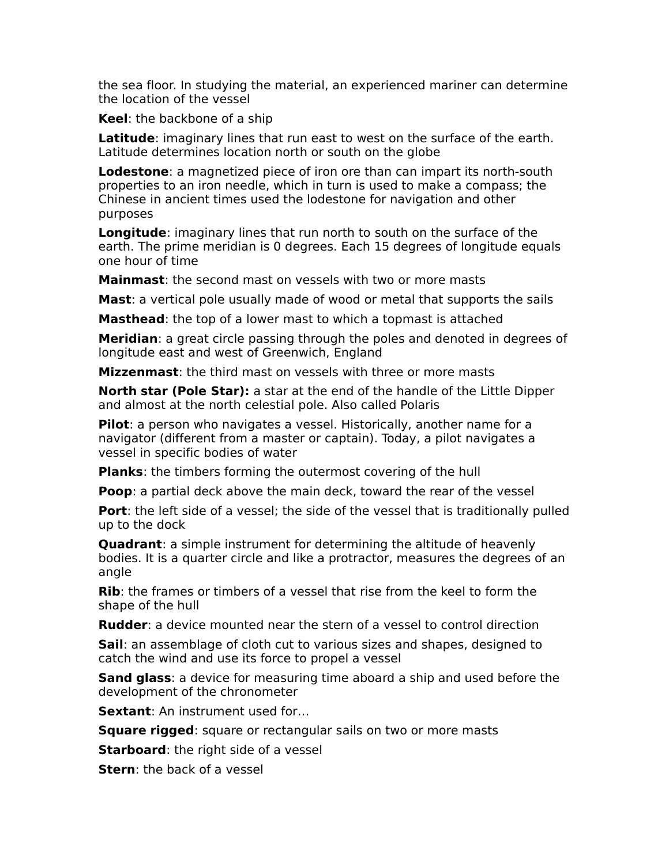the sea floor. In studying the material, an experienced mariner can determine the location of the vessel

**Keel**: the backbone of a ship

**Latitude**: imaginary lines that run east to west on the surface of the earth. Latitude determines location north or south on the globe

**Lodestone**: a magnetized piece of iron ore than can impart its north-south properties to an iron needle, which in turn is used to make a compass; the Chinese in ancient times used the lodestone for navigation and other purposes

**Longitude**: imaginary lines that run north to south on the surface of the earth. The prime meridian is 0 degrees. Each 15 degrees of longitude equals one hour of time

**Mainmast**: the second mast on vessels with two or more masts

**Mast**: a vertical pole usually made of wood or metal that supports the sails

**Masthead**: the top of a lower mast to which a topmast is attached

**Meridian**: a great circle passing through the poles and denoted in degrees of longitude east and west of Greenwich, England

**Mizzenmast**: the third mast on vessels with three or more masts

**North star (Pole Star):** a star at the end of the handle of the Little Dipper and almost at the north celestial pole. Also called Polaris

**Pilot**: a person who navigates a vessel. Historically, another name for a navigator (different from a master or captain). Today, a pilot navigates a vessel in specific bodies of water

**Planks**: the timbers forming the outermost covering of the hull

**Poop**: a partial deck above the main deck, toward the rear of the vessel

**Port**: the left side of a vessel; the side of the vessel that is traditionally pulled up to the dock

**Quadrant**: a simple instrument for determining the altitude of heavenly bodies. It is a quarter circle and like a protractor, measures the degrees of an angle

**Rib**: the frames or timbers of a vessel that rise from the keel to form the shape of the hull

**Rudder**: a device mounted near the stern of a vessel to control direction

**Sail**: an assemblage of cloth cut to various sizes and shapes, designed to catch the wind and use its force to propel a vessel

**Sand glass**: a device for measuring time aboard a ship and used before the development of the chronometer

**Sextant**: An instrument used for…

**Square rigged**: square or rectangular sails on two or more masts

**Starboard**: the right side of a vessel

**Stern**: the back of a vessel